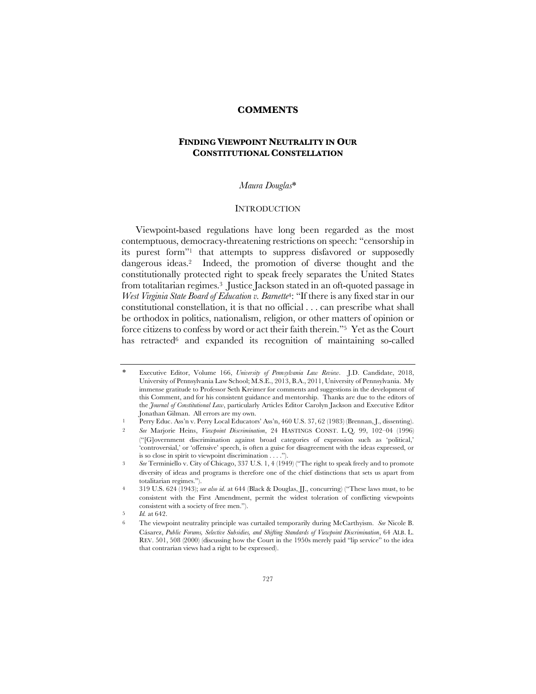# **COMMENTS**

# **FINDING VIEWPOINT NEUTRALITY IN OUR CONSTITUTIONAL CONSTELLATION**

#### *Maura Douglas*\*

### **INTRODUCTION**

Viewpoint-based regulations have long been regarded as the most contemptuous, democracy-threatening restrictions on speech: "censorship in its purest form"1 that attempts to suppress disfavored or supposedly dangerous ideas.2 Indeed, the promotion of diverse thought and the constitutionally protected right to speak freely separates the United States from totalitarian regimes.3 Justice Jackson stated in an oft-quoted passage in *West Virginia State Board of Education v. Barnette*4: "If there is any fixed star in our constitutional constellation, it is that no official . . . can prescribe what shall be orthodox in politics, nationalism, religion, or other matters of opinion or force citizens to confess by word or act their faith therein."5 Yet as the Court has retracted<sup>6</sup> and expanded its recognition of maintaining so-called

1 Perry Educ. Ass'n v. Perry Local Educators' Ass'n, 460 U.S. 37, 62 (1983) (Brennan, J., dissenting).

<sup>\*</sup> Executive Editor, Volume 166, *University of Pennsylvania Law Review*. J.D. Candidate, 2018, University of Pennsylvania Law School; M.S.E., 2013, B.A., 2011, University of Pennsylvania. My immense gratitude to Professor Seth Kreimer for comments and suggestions in the development of this Comment, and for his consistent guidance and mentorship. Thanks are due to the editors of the *Journal of Constitutional Law*, particularly Articles Editor Carolyn Jackson and Executive Editor Jonathan Gilman. All errors are my own.

<sup>2</sup> *See* Marjorie Heins, *Viewpoint Discrimination*, 24 HASTINGS CONST. L.Q. 99, 102–04 (1996) ("[G]overnment discrimination against broad categories of expression such as 'political,' 'controversial,' or 'offensive' speech, is often a guise for disagreement with the ideas expressed, or is so close in spirit to viewpoint discrimination . . . .").

<sup>3</sup> *See* Terminiello v. City of Chicago, 337 U.S. 1, 4 (1949) ("The right to speak freely and to promote diversity of ideas and programs is therefore one of the chief distinctions that sets us apart from totalitarian regimes.").

<sup>4</sup> 319 U.S. 624 (1943); *see also id.* at 644 (Black & Douglas, JJ., concurring) ("These laws must, to be consistent with the First Amendment, permit the widest toleration of conflicting viewpoints consistent with a society of free men.").

*Id.* at 642.

<sup>6</sup> The viewpoint neutrality principle was curtailed temporarily during McCarthyism. *See* Nicole B. Cásarez, *Public Forums, Selective Subsidies, and Shifting Standards of Viewpoint Discrimination*, 64 ALB. L. REV. 501, 508 (2000) (discussing how the Court in the 1950s merely paid "lip service" to the idea that contrarian views had a right to be expressed).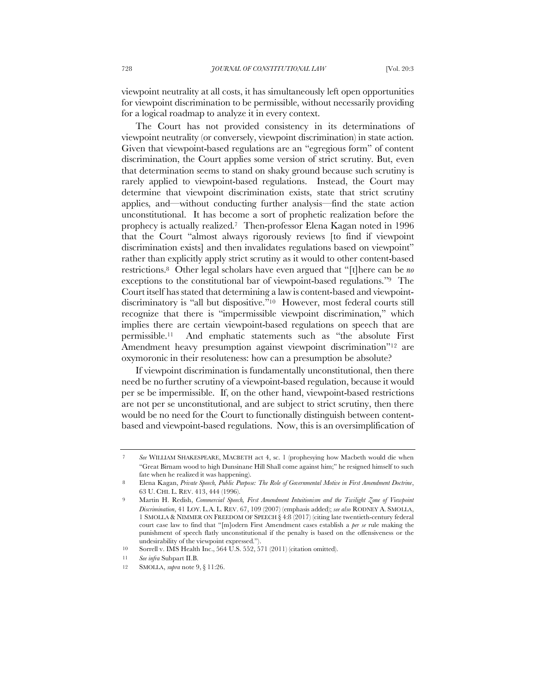viewpoint neutrality at all costs, it has simultaneously left open opportunities for viewpoint discrimination to be permissible, without necessarily providing for a logical roadmap to analyze it in every context.

The Court has not provided consistency in its determinations of viewpoint neutrality (or conversely, viewpoint discrimination) in state action. Given that viewpoint-based regulations are an "egregious form" of content discrimination, the Court applies some version of strict scrutiny. But, even that determination seems to stand on shaky ground because such scrutiny is rarely applied to viewpoint-based regulations. Instead, the Court may determine that viewpoint discrimination exists, state that strict scrutiny applies, and—without conducting further analysis—find the state action unconstitutional. It has become a sort of prophetic realization before the prophecy is actually realized.7 Then-professor Elena Kagan noted in 1996 that the Court "almost always rigorously reviews [to find if viewpoint discrimination exists] and then invalidates regulations based on viewpoint" rather than explicitly apply strict scrutiny as it would to other content-based restrictions.8 Other legal scholars have even argued that "[t]here can be *no* exceptions to the constitutional bar of viewpoint-based regulations."9 The Court itself has stated that determining a law is content-based and viewpointdiscriminatory is "all but dispositive."10 However, most federal courts still recognize that there is "impermissible viewpoint discrimination," which implies there are certain viewpoint-based regulations on speech that are permissible.11 And emphatic statements such as "the absolute First Amendment heavy presumption against viewpoint discrimination"<sup>12</sup> are oxymoronic in their resoluteness: how can a presumption be absolute?

If viewpoint discrimination is fundamentally unconstitutional, then there need be no further scrutiny of a viewpoint-based regulation, because it would per se be impermissible. If, on the other hand, viewpoint-based restrictions are not per se unconstitutional, and are subject to strict scrutiny, then there would be no need for the Court to functionally distinguish between contentbased and viewpoint-based regulations. Now, this is an oversimplification of

<sup>7</sup> *See* WILLIAM SHAKESPEARE, MACBETH act 4, sc. 1 (prophesying how Macbeth would die when "Great Birnam wood to high Dunsinane Hill Shall come against him;" he resigned himself to such fate when he realized it was happening).

<sup>8</sup> Elena Kagan, *Private Speech, Public Purpose: The Role of Governmental Motive in First Amendment Doctrine*, 63 U. CHI. L. REV. 413, 444 (1996).

<sup>9</sup> Martin H. Redish, *Commercial Speech, First Amendment Intuitionism and the Twilight Zone of Viewpoint Discrimination*, 41 LOY. L.A. L. REV. 67, 109 (2007) (emphasis added); *see also* RODNEY A. SMOLLA, 1 SMOLLA & NIMMER ON FREEDOM OF SPEECH § 4:8 (2017) (citing late twentieth-century federal court case law to find that "[m]odern First Amendment cases establish a *per se* rule making the punishment of speech flatly unconstitutional if the penalty is based on the offensiveness or the undesirability of the viewpoint expressed.").

<sup>10</sup> Sorrell v. IMS Health Inc., 564 U.S. 552, 571 (2011) (citation omitted).

<sup>11</sup> *See infra* Subpart II.B.

<sup>12</sup> SMOLLA, *supra* note 9, § 11:26.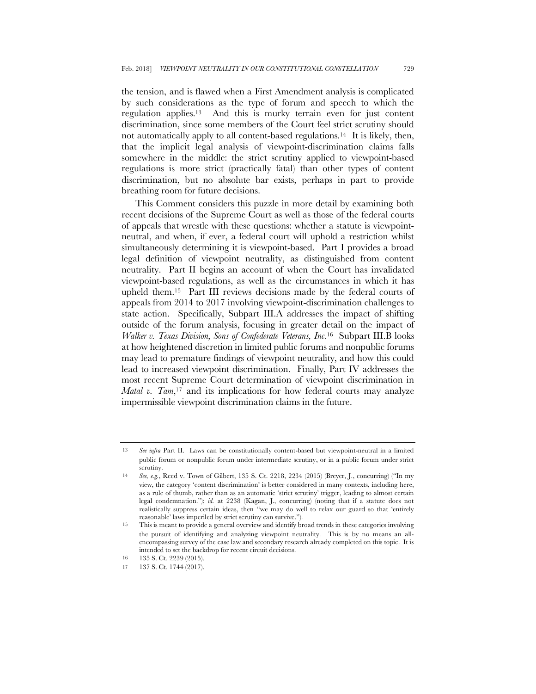the tension, and is flawed when a First Amendment analysis is complicated by such considerations as the type of forum and speech to which the regulation applies.13 And this is murky terrain even for just content discrimination, since some members of the Court feel strict scrutiny should not automatically apply to all content-based regulations.14 It is likely, then, that the implicit legal analysis of viewpoint-discrimination claims falls somewhere in the middle: the strict scrutiny applied to viewpoint-based regulations is more strict (practically fatal) than other types of content discrimination, but no absolute bar exists, perhaps in part to provide breathing room for future decisions.

This Comment considers this puzzle in more detail by examining both recent decisions of the Supreme Court as well as those of the federal courts of appeals that wrestle with these questions: whether a statute is viewpointneutral, and when, if ever, a federal court will uphold a restriction whilst simultaneously determining it is viewpoint-based. Part I provides a broad legal definition of viewpoint neutrality, as distinguished from content neutrality. Part II begins an account of when the Court has invalidated viewpoint-based regulations, as well as the circumstances in which it has upheld them.15 Part III reviews decisions made by the federal courts of appeals from 2014 to 2017 involving viewpoint-discrimination challenges to state action. Specifically, Subpart III.A addresses the impact of shifting outside of the forum analysis, focusing in greater detail on the impact of *Walker v. Texas Division, Sons of Confederate Veterans, Inc.*16 Subpart III.B looks at how heightened discretion in limited public forums and nonpublic forums may lead to premature findings of viewpoint neutrality, and how this could lead to increased viewpoint discrimination. Finally, Part IV addresses the most recent Supreme Court determination of viewpoint discrimination in *Matal v. Tam*,<sup>17</sup> and its implications for how federal courts may analyze impermissible viewpoint discrimination claims in the future.

<sup>13</sup> *See infra* Part II. Laws can be constitutionally content-based but viewpoint-neutral in a limited public forum or nonpublic forum under intermediate scrutiny, or in a public forum under strict scrutiny.

<sup>14</sup> *See, e.g.*, Reed v. Town of Gilbert, 135 S. Ct. 2218, 2234 (2015) (Breyer, J., concurring) ("In my view, the category 'content discrimination' is better considered in many contexts, including here, as a rule of thumb, rather than as an automatic 'strict scrutiny' trigger, leading to almost certain legal condemnation."); *id.* at 2238 (Kagan, J., concurring) (noting that if a statute does not realistically suppress certain ideas, then "we may do well to relax our guard so that 'entirely reasonable' laws imperiled by strict scrutiny can survive.").

<sup>15</sup> This is meant to provide a general overview and identify broad trends in these categories involving the pursuit of identifying and analyzing viewpoint neutrality. This is by no means an allencompassing survey of the case law and secondary research already completed on this topic. It is intended to set the backdrop for recent circuit decisions.

<sup>16</sup> 135 S. Ct. 2239 (2015).

<sup>17</sup> 137 S. Ct. 1744 (2017).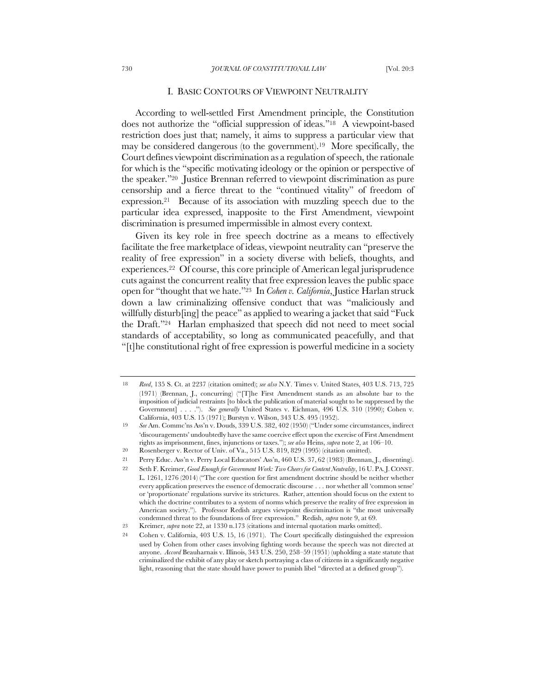### I. BASIC CONTOURS OF VIEWPOINT NEUTRALITY

According to well-settled First Amendment principle, the Constitution does not authorize the "official suppression of ideas."18 A viewpoint-based restriction does just that; namely, it aims to suppress a particular view that may be considered dangerous (to the government).19 More specifically, the Court defines viewpoint discrimination as a regulation of speech, the rationale for which is the "specific motivating ideology or the opinion or perspective of the speaker."20 Justice Brennan referred to viewpoint discrimination as pure censorship and a fierce threat to the "continued vitality" of freedom of expression.21 Because of its association with muzzling speech due to the particular idea expressed, inapposite to the First Amendment, viewpoint discrimination is presumed impermissible in almost every context.

Given its key role in free speech doctrine as a means to effectively facilitate the free marketplace of ideas, viewpoint neutrality can "preserve the reality of free expression" in a society diverse with beliefs, thoughts, and experiences.22 Of course, this core principle of American legal jurisprudence cuts against the concurrent reality that free expression leaves the public space open for "thought that we hate."23 In *Cohen v. California*, Justice Harlan struck down a law criminalizing offensive conduct that was "maliciously and willfully disturb[ing] the peace" as applied to wearing a jacket that said "Fuck" the Draft."24 Harlan emphasized that speech did not need to meet social standards of acceptability, so long as communicated peacefully, and that "[t]he constitutional right of free expression is powerful medicine in a society

<sup>18</sup> *Reed*, 135 S. Ct. at 2237 (citation omitted); *see also* N.Y. Times v. United States, 403 U.S. 713, 725 (1971) (Brennan, J., concurring) ("[T]he First Amendment stands as an absolute bar to the imposition of judicial restraints [to block the publication of material sought to be suppressed by the Government] . . . ."). *See generally* United States v. Eichman, 496 U.S. 310 (1990); Cohen v. California, 403 U.S. 15 (1971); Burstyn v. Wilson, 343 U.S. 495 (1952).

<sup>19</sup> *See* Am. Commc'ns Ass'n v. Douds, 339 U.S. 382, 402 (1950) ("Under some circumstances, indirect 'discouragements' undoubtedly have the same coercive effect upon the exercise of First Amendment rights as imprisonment, fines, injunctions or taxes."); *see also* Heins, *supra* note 2, at 106–10.

<sup>20</sup> Rosenberger v. Rector of Univ. of Va., 515 U.S. 819, 829 (1995) (citation omitted).

<sup>21</sup> Perry Educ. Ass'n v. Perry Local Educators' Ass'n, 460 U.S. 37, 62 (1983) (Brennan, J., dissenting).

<sup>22</sup> Seth F. Kreimer, *Good Enough for Government Work: Two Cheers for Content Neutrality*, 16 U. PA.J. CONST. L. 1261, 1276 (2014) ("The core question for first amendment doctrine should be neither whether every application preserves the essence of democratic discourse . . . nor whether all 'common sense' or 'proportionate' regulations survive its strictures. Rather, attention should focus on the extent to which the doctrine contributes to a system of norms which preserve the reality of free expression in American society."). Professor Redish argues viewpoint discrimination is "the most universally condemned threat to the foundations of free expression." Redish, *supra* note 9, at 69.

<sup>23</sup> Kreimer, *supra* note 22, at 1330 n.173 (citations and internal quotation marks omitted).

<sup>24</sup> Cohen v. California, 403 U.S. 15, 16 (1971). The Court specifically distinguished the expression used by Cohen from other cases involving fighting words because the speech was not directed at anyone. *Accord* Beauharnais v. Illinois, 343 U.S. 250, 258–59 (1951) (upholding a state statute that criminalized the exhibit of any play or sketch portraying a class of citizens in a significantly negative light, reasoning that the state should have power to punish libel "directed at a defined group").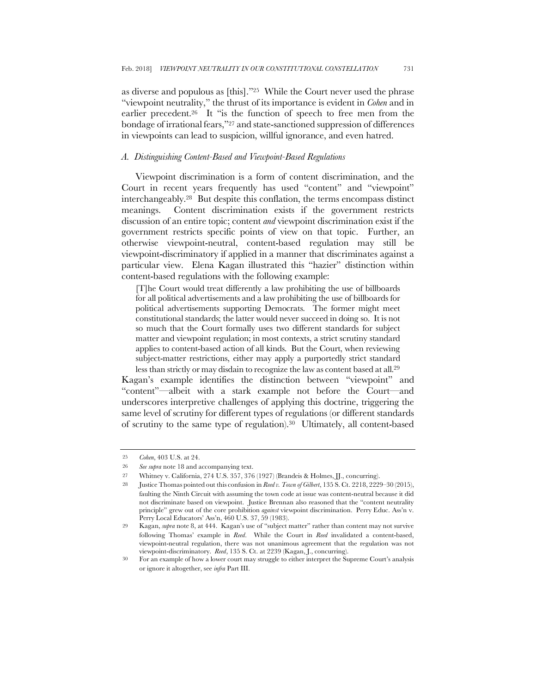as diverse and populous as [this]."25 While the Court never used the phrase "viewpoint neutrality," the thrust of its importance is evident in *Cohen* and in earlier precedent.<sup>26</sup> It "is the function of speech to free men from the bondage of irrational fears,"27 and state-sanctioned suppression of differences in viewpoints can lead to suspicion, willful ignorance, and even hatred.

### *A. Distinguishing Content-Based and Viewpoint-Based Regulations*

Viewpoint discrimination is a form of content discrimination, and the Court in recent years frequently has used "content" and "viewpoint" interchangeably.28 But despite this conflation, the terms encompass distinct meanings. Content discrimination exists if the government restricts discussion of an entire topic; content *and* viewpoint discrimination exist if the government restricts specific points of view on that topic. Further, an otherwise viewpoint-neutral, content-based regulation may still be viewpoint-discriminatory if applied in a manner that discriminates against a particular view. Elena Kagan illustrated this "hazier" distinction within content-based regulations with the following example:

[T]he Court would treat differently a law prohibiting the use of billboards for all political advertisements and a law prohibiting the use of billboards for political advertisements supporting Democrats. The former might meet constitutional standards; the latter would never succeed in doing so. It is not so much that the Court formally uses two different standards for subject matter and viewpoint regulation; in most contexts, a strict scrutiny standard applies to content-based action of all kinds. But the Court, when reviewing subject-matter restrictions, either may apply a purportedly strict standard less than strictly or may disdain to recognize the law as content based at all.29

Kagan's example identifies the distinction between "viewpoint" and "content"—albeit with a stark example not before the Court—and underscores interpretive challenges of applying this doctrine, triggering the same level of scrutiny for different types of regulations (or different standards of scrutiny to the same type of regulation).30 Ultimately, all content-based

<sup>25</sup> *Cohen*, 403 U.S. at 24.

<sup>26</sup> *See supra* note 18 and accompanying text.

<sup>27</sup> Whitney v. California, 274 U.S. 357, 376 (1927) (Brandeis & Holmes, JJ., concurring).

<sup>28</sup> Justice Thomas pointed out this confusion in *Reed v. Town of Gilbert*, 135 S. Ct. 2218, 2229–30 (2015), faulting the Ninth Circuit with assuming the town code at issue was content-neutral because it did not discriminate based on viewpoint. Justice Brennan also reasoned that the "content neutrality principle" grew out of the core prohibition *against* viewpoint discrimination. Perry Educ. Ass'n v. Perry Local Educators' Ass'n, 460 U.S. 37, 59 (1983).

<sup>29</sup> Kagan, *supra* note 8, at 444. Kagan's use of "subject matter" rather than content may not survive following Thomas' example in *Reed*. While the Court in *Reed* invalidated a content-based, viewpoint-neutral regulation, there was not unanimous agreement that the regulation was not viewpoint-discriminatory. *Reed*, 135 S. Ct. at 2239 (Kagan, J., concurring).

<sup>30</sup> For an example of how a lower court may struggle to either interpret the Supreme Court's analysis or ignore it altogether, see *infra* Part III.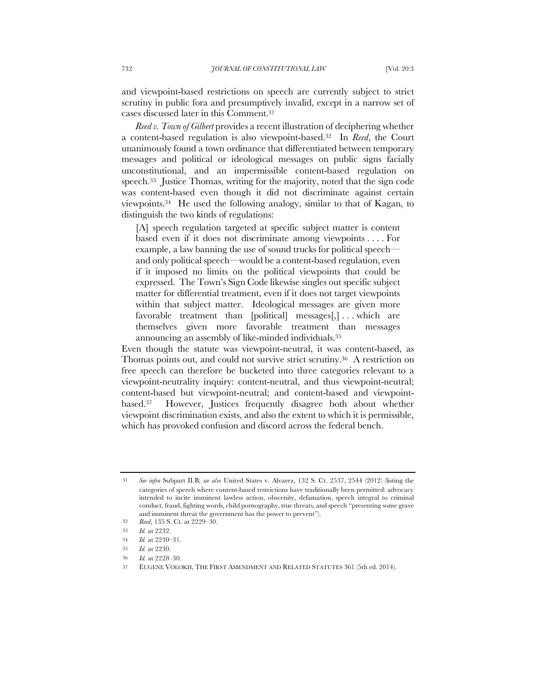and viewpoint-based restrictions on speech are currently subject to strict scrutiny in public fora and presumptively invalid, except in a narrow set of cases discussed later in this Comment.31

*Reed v. Town of Gilbert* provides a recent illustration of deciphering whether a content-based regulation is also viewpoint-based.32 In *Reed*, the Court unanimously found a town ordinance that differentiated between temporary messages and political or ideological messages on public signs facially unconstitutional, and an impermissible content-based regulation on speech.33 Justice Thomas, writing for the majority, noted that the sign code was content-based even though it did not discriminate against certain viewpoints.34 He used the following analogy, similar to that of Kagan, to distinguish the two kinds of regulations:

[A] speech regulation targeted at specific subject matter is content based even if it does not discriminate among viewpoints . . . . For example, a law banning the use of sound trucks for political speech and only political speech—would be a content-based regulation, even if it imposed no limits on the political viewpoints that could be expressed. The Town's Sign Code likewise singles out specific subject matter for differential treatment, even if it does not target viewpoints within that subject matter. Ideological messages are given more favorable treatment than [political] messages[,] . . . which are themselves given more favorable treatment than messages announcing an assembly of like-minded individuals.35

Even though the statute was viewpoint-neutral, it was content-based, as Thomas points out, and could not survive strict scrutiny.36 A restriction on free speech can therefore be bucketed into three categories relevant to a viewpoint-neutrality inquiry: content-neutral, and thus viewpoint-neutral; content-based but viewpoint-neutral; and content-based and viewpointbased.37 However, Justices frequently disagree both about whether viewpoint discrimination exists, and also the extent to which it is permissible, which has provoked confusion and discord across the federal bench.

<sup>31</sup> *See infra* Subpart II.B; *see also* United States v. Alvarez, 132 S. Ct. 2537, 2544 (2012) (listing the categories of speech where content-based restrictions have traditionally been permitted: advocacy intended to incite imminent lawless action, obscenity, defamation, speech integral to criminal conduct, fraud, fighting words, child pornography, true threats, and speech "presenting some grave and imminent threat the government has the power to prevent").

<sup>32</sup> *Reed*, 135 S. Ct. at 2229–30.

<sup>33</sup> *Id.* at 2232.

<sup>34</sup> *Id.* at 2230–31.

<sup>35</sup> *Id.* at 2230.

<sup>36</sup> *Id.* at 2228–30.

<sup>37</sup> EUGENE VOLOKH, THE FIRST AMENDMENT AND RELATED STATUTES 361 (5th ed. 2014).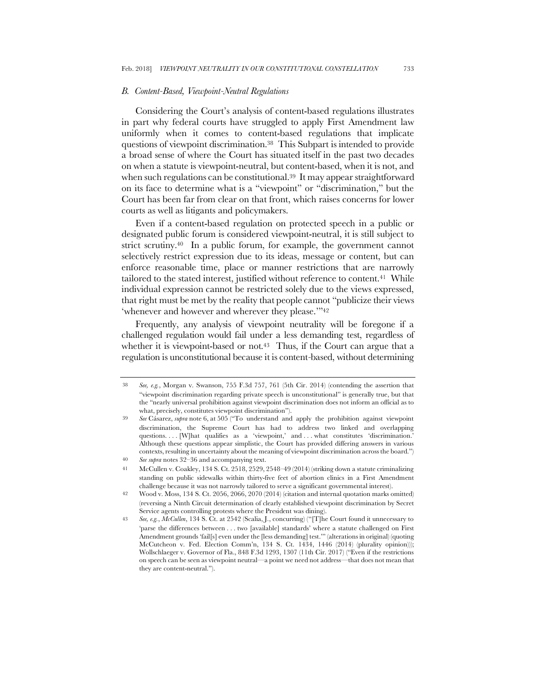#### *B. Content-Based, Viewpoint-Neutral Regulations*

Considering the Court's analysis of content-based regulations illustrates in part why federal courts have struggled to apply First Amendment law uniformly when it comes to content-based regulations that implicate questions of viewpoint discrimination.38 This Subpart is intended to provide a broad sense of where the Court has situated itself in the past two decades on when a statute is viewpoint-neutral, but content-based, when it is not, and when such regulations can be constitutional.<sup>39</sup> It may appear straightforward on its face to determine what is a "viewpoint" or "discrimination," but the Court has been far from clear on that front, which raises concerns for lower courts as well as litigants and policymakers.

Even if a content-based regulation on protected speech in a public or designated public forum is considered viewpoint-neutral, it is still subject to strict scrutiny.40 In a public forum, for example, the government cannot selectively restrict expression due to its ideas, message or content, but can enforce reasonable time, place or manner restrictions that are narrowly tailored to the stated interest, justified without reference to content.41 While individual expression cannot be restricted solely due to the views expressed, that right must be met by the reality that people cannot "publicize their views 'whenever and however and wherever they please.'"42

Frequently, any analysis of viewpoint neutrality will be foregone if a challenged regulation would fail under a less demanding test, regardless of whether it is viewpoint-based or not.<sup>43</sup> Thus, if the Court can argue that a regulation is unconstitutional because it is content*-*based, without determining

<sup>38</sup> *See, e.g.*, Morgan v. Swanson, 755 F.3d 757, 761 (5th Cir. 2014) (contending the assertion that "viewpoint discrimination regarding private speech is unconstitutional" is generally true, but that the "nearly universal prohibition against viewpoint discrimination does not inform an official as to what, precisely, constitutes viewpoint discrimination").

<sup>39</sup> *See* Cásarez, *supra* note 6, at 505 ("To understand and apply the prohibition against viewpoint discrimination, the Supreme Court has had to address two linked and overlapping questions. . . . [W]hat qualifies as a 'viewpoint,' and . . . what constitutes 'discrimination.' Although these questions appear simplistic, the Court has provided differing answers in various contexts, resulting in uncertainty about the meaning of viewpoint discrimination across the board.") 40 *See supra* notes 32–36 and accompanying text.

<sup>41</sup> McCullen v. Coakley, 134 S. Ct. 2518, 2529, 2548–49 (2014) (striking down a statute criminalizing standing on public sidewalks within thirty-five feet of abortion clinics in a First Amendment challenge because it was not narrowly tailored to serve a significant governmental interest).

<sup>42</sup> Wood v. Moss, 134 S. Ct. 2056, 2066, 2070 (2014) (citation and internal quotation marks omitted) (reversing a Ninth Circuit determination of clearly established viewpoint discrimination by Secret Service agents controlling protests where the President was dining).

<sup>43</sup> *See, e.g.*, *McCullen*, 134 S. Ct. at 2542 (Scalia, J., concurring) ("[T]he Court found it unnecessary to 'parse the differences between . . . two [available] standards' where a statute challenged on First Amendment grounds 'fail[s] even under the [less demanding] test.'" (alterations in original) (quoting McCutcheon v. Fed. Election Comm'n, 134 S. Ct. 1434, 1446 (2014) (plurality opinion))); Wollschlaeger v. Governor of Fla., 848 F.3d 1293, 1307 (11th Cir. 2017) ("Even if the restrictions on speech can be seen as viewpoint neutral—a point we need not address—that does not mean that they are content-neutral.").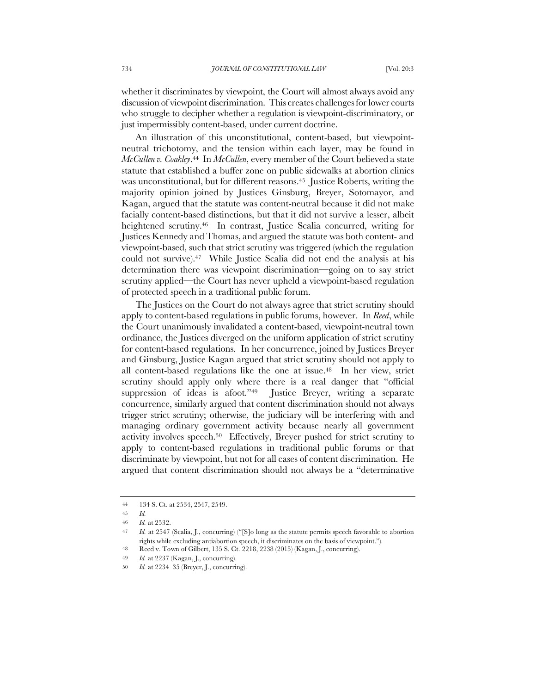whether it discriminates by viewpoint, the Court will almost always avoid any discussion of viewpoint discrimination. This creates challenges for lower courts who struggle to decipher whether a regulation is viewpoint-discriminatory, or just impermissibly content-based, under current doctrine.

An illustration of this unconstitutional, content-based, but viewpointneutral trichotomy, and the tension within each layer, may be found in *McCullen v. Coakley*.44 In *McCullen*, every member of the Court believed a state statute that established a buffer zone on public sidewalks at abortion clinics was unconstitutional, but for different reasons.45 Justice Roberts, writing the majority opinion joined by Justices Ginsburg, Breyer, Sotomayor, and Kagan, argued that the statute was content-neutral because it did not make facially content-based distinctions, but that it did not survive a lesser, albeit heightened scrutiny.<sup>46</sup> In contrast, Justice Scalia concurred, writing for Justices Kennedy and Thomas, and argued the statute was both content- and viewpoint-based, such that strict scrutiny was triggered (which the regulation could not survive).47 While Justice Scalia did not end the analysis at his determination there was viewpoint discrimination—going on to say strict scrutiny applied—the Court has never upheld a viewpoint-based regulation of protected speech in a traditional public forum.

The Justices on the Court do not always agree that strict scrutiny should apply to content-based regulations in public forums, however. In *Reed*, while the Court unanimously invalidated a content-based, viewpoint-neutral town ordinance, the Justices diverged on the uniform application of strict scrutiny for content-based regulations. In her concurrence, joined by Justices Breyer and Ginsburg, Justice Kagan argued that strict scrutiny should not apply to all content-based regulations like the one at issue.48 In her view, strict scrutiny should apply only where there is a real danger that "official suppression of ideas is afoot."<sup>49</sup> Justice Breyer, writing a separate concurrence, similarly argued that content discrimination should not always trigger strict scrutiny; otherwise, the judiciary will be interfering with and managing ordinary government activity because nearly all government activity involves speech.50 Effectively, Breyer pushed for strict scrutiny to apply to content-based regulations in traditional public forums or that discriminate by viewpoint, but not for all cases of content discrimination. He argued that content discrimination should not always be a "determinative

<sup>44</sup> 134 S. Ct. at 2534, 2547, 2549.

<sup>45</sup> *Id.*

<sup>46</sup> *Id.* at 2532.

<sup>47</sup> *Id.* at 2547 (Scalia, J., concurring) ("[S]o long as the statute permits speech favorable to abortion rights while excluding antiabortion speech, it discriminates on the basis of viewpoint.").

<sup>48</sup> Reed v. Town of Gilbert, 135 S. Ct. 2218, 2238 (2015) (Kagan, J., concurring).

<sup>49</sup> *Id.* at 2237 (Kagan, J., concurring).

<sup>50</sup> *Id.* at 2234–35 (Breyer, J., concurring).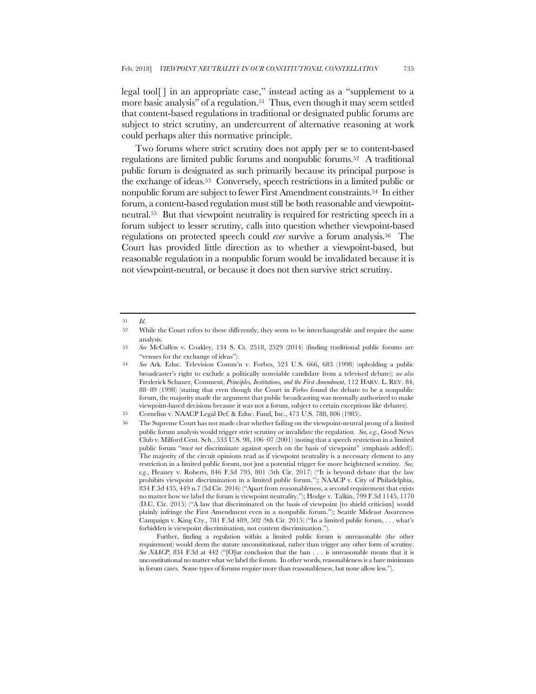legal tool[ ] in an appropriate case," instead acting as a "supplement to a more basic analysis" of a regulation.<sup>51</sup> Thus, even though it may seem settled that content-based regulations in traditional or designated public forums are subject to strict scrutiny, an undercurrent of alternative reasoning at work could perhaps alter this normative principle.

Two forums where strict scrutiny does not apply per se to content-based regulations are limited public forums and nonpublic forums.52 A traditional public forum is designated as such primarily because its principal purpose is the exchange of ideas.53 Conversely, speech restrictions in a limited public or nonpublic forum are subject to fewer First Amendment constraints.54 In either forum, a content-based regulation must still be both reasonable and viewpointneutral.55 But that viewpoint neutrality is required for restricting speech in a forum subject to lesser scrutiny, calls into question whether viewpoint-based regulations on protected speech could *ever* survive a forum analysis.56 The Court has provided little direction as to whether a viewpoint-based, but reasonable regulation in a nonpublic forum would be invalidated because it is not viewpoint-neutral, or because it does not then survive strict scrutiny.

<sup>51</sup> *Id.*

<sup>52</sup> While the Court refers to these differently, they seem to be interchangeable and require the same analysis.

<sup>53</sup> *See* McCullen v. Coakley, 134 S. Ct. 2518, 2529 (2014) (finding traditional public forums are "venues for the exchange of ideas").

<sup>54</sup> *See* Ark. Educ. Television Comm'n v. Forbes, 523 U.S. 666, 683 (1998) (upholding a public broadcaster's right to exclude a politically nonviable candidate from a televised debate); *see also* Frederick Schauer, Comment, *Principles, Institutions, and the First Amendment*, 112 HARV. L. REV. 84, 88–89 (1998) (stating that even though the Court in *Forbes* found the debate to be a nonpublic forum, the majority made the argument that public broadcasting was normally authorized to make viewpoint-based decisions because it was not a forum, subject to certain exceptions like debates).

<sup>55</sup> Cornelius v. NAACP Legal Def. & Educ. Fund, Inc., 473 U.S. 788, 806 (1985).

<sup>56</sup> The Supreme Court has not made clear whether failing on the viewpoint-neutral prong of a limited public forum analysis would trigger strict scrutiny or invalidate the regulation. *See, e.g.*, Good News Club v. Milford Cent. Sch., 533 U.S. 98, 106–07 (2001) (noting that a speech restriction in a limited public forum "*must not* discriminate against speech on the basis of viewpoint" (emphasis added)). The majority of the circuit opinions read as if viewpoint neutrality is a necessary element to any restriction in a limited public forum, not just a potential trigger for more heightened scrutiny. *See, e.g.*, Heaney v. Roberts, 846 F.3d 795, 801 (5th Cir. 2017) ("It is beyond debate that the law prohibits viewpoint discrimination in a limited public forum."); NAACP v. City of Philadelphia, 834 F.3d 435, 449 n.7 (3d Cir. 2016) ("Apart from reasonableness, a second requirement that exists no matter how we label the forum is viewpoint neutrality."); Hodge v. Talkin, 799 F.3d 1145, 1170 (D.C. Cir. 2015) ("A law that discriminated on the basis of viewpoint [to shield criticism] would plainly infringe the First Amendment even in a nonpublic forum."); Seattle Mideast Awareness Campaign v. King Cty., 781 F.3d 489, 502 (9th Cir. 2015) ("In a limited public forum, . . . what's forbidden is viewpoint discrimination, not content discrimination.").

Further, finding a regulation within a limited public forum is unreasonable (the other requirement) would deem the statute unconstitutional, rather than trigger any other form of scrutiny. *See NAACP*, 834 F.3d at 442 ("[O]ur conclusion that the ban . . . is unreasonable means that it is unconstitutional no matter what we label the forum. In other words, reasonableness is a bare minimum in forum cases. Some types of forums require more than reasonableness, but none allow less.").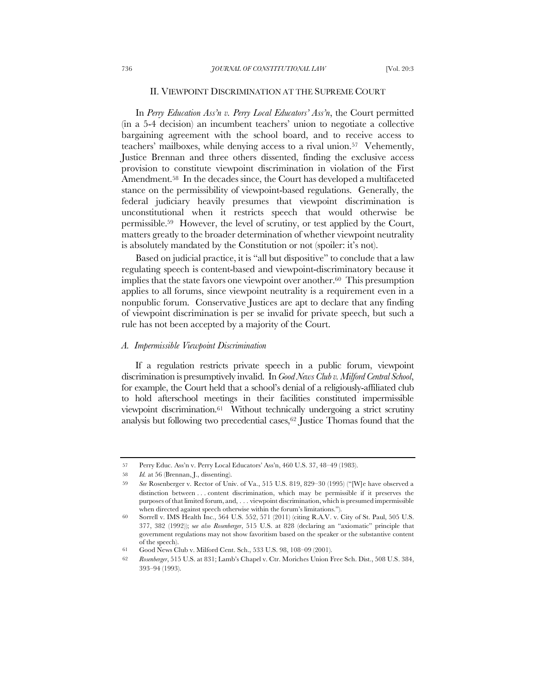### II. VIEWPOINT DISCRIMINATION AT THE SUPREME COURT

In *Perry Education Ass'n v. Perry Local Educators' Ass'n*, the Court permitted (in a 5-4 decision) an incumbent teachers' union to negotiate a collective bargaining agreement with the school board, and to receive access to teachers' mailboxes, while denying access to a rival union.57 Vehemently, Justice Brennan and three others dissented, finding the exclusive access provision to constitute viewpoint discrimination in violation of the First Amendment.58 In the decades since, the Court has developed a multifaceted stance on the permissibility of viewpoint-based regulations. Generally, the federal judiciary heavily presumes that viewpoint discrimination is unconstitutional when it restricts speech that would otherwise be permissible.59 However, the level of scrutiny, or test applied by the Court, matters greatly to the broader determination of whether viewpoint neutrality is absolutely mandated by the Constitution or not (spoiler: it's not).

Based on judicial practice, it is "all but dispositive" to conclude that a law regulating speech is content-based and viewpoint-discriminatory because it implies that the state favors one viewpoint over another.60 This presumption applies to all forums, since viewpoint neutrality is a requirement even in a nonpublic forum. Conservative Justices are apt to declare that any finding of viewpoint discrimination is per se invalid for private speech, but such a rule has not been accepted by a majority of the Court.

#### *A. Impermissible Viewpoint Discrimination*

If a regulation restricts private speech in a public forum, viewpoint discrimination is presumptively invalid. In *Good News Club v. Milford Central School*, for example, the Court held that a school's denial of a religiously-affiliated club to hold afterschool meetings in their facilities constituted impermissible viewpoint discrimination.<sup>61</sup> Without technically undergoing a strict scrutiny analysis but following two precedential cases,62 Justice Thomas found that the

<sup>57</sup> Perry Educ. Ass'n v. Perry Local Educators' Ass'n, 460 U.S. 37, 48–49 (1983).

<sup>58</sup> *Id.* at 56 (Brennan, J., dissenting).

<sup>59</sup> *See* Rosenberger v. Rector of Univ. of Va., 515 U.S. 819, 829–30 (1995) ("[W]e have observed a distinction between . . . content discrimination, which may be permissible if it preserves the purposes of that limited forum, and, . . . viewpoint discrimination, which is presumed impermissible when directed against speech otherwise within the forum's limitations.").

<sup>60</sup> Sorrell v. IMS Health Inc., 564 U.S. 552, 571 (2011) (citing R.A.V. v. City of St. Paul, 505 U.S. 377, 382 (1992)); s*ee also Rosenberger*, 515 U.S. at 828 (declaring an "axiomatic" principle that government regulations may not show favoritism based on the speaker or the substantive content of the speech).

<sup>61</sup> Good News Club v. Milford Cent. Sch., 533 U.S. 98, 108–09 (2001).

<sup>62</sup> *Rosenberger*, 515 U.S. at 831; Lamb's Chapel v. Ctr. Moriches Union Free Sch. Dist., 508 U.S. 384, 393–94 (1993).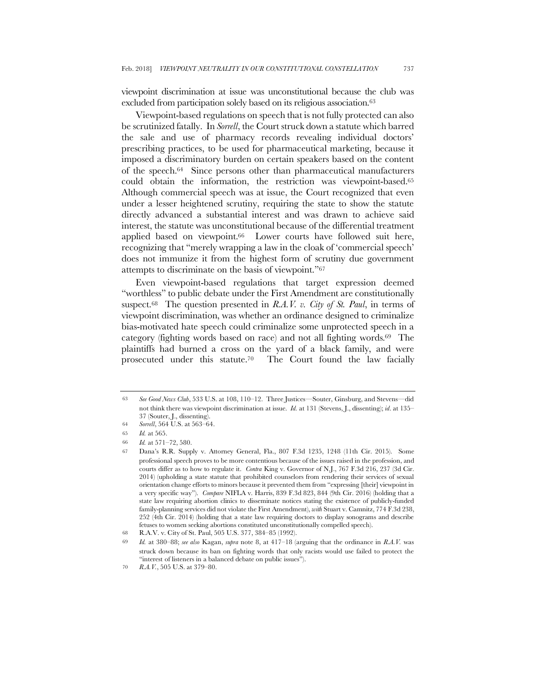viewpoint discrimination at issue was unconstitutional because the club was excluded from participation solely based on its religious association.63

Viewpoint-based regulations on speech that is not fully protected can also be scrutinized fatally. In *Sorrell*, the Court struck down a statute which barred the sale and use of pharmacy records revealing individual doctors' prescribing practices, to be used for pharmaceutical marketing, because it imposed a discriminatory burden on certain speakers based on the content of the speech.64 Since persons other than pharmaceutical manufacturers could obtain the information, the restriction was viewpoint-based.65 Although commercial speech was at issue, the Court recognized that even under a lesser heightened scrutiny, requiring the state to show the statute directly advanced a substantial interest and was drawn to achieve said interest, the statute was unconstitutional because of the differential treatment applied based on viewpoint.<sup>66</sup> Lower courts have followed suit here, recognizing that "merely wrapping a law in the cloak of 'commercial speech' does not immunize it from the highest form of scrutiny due government attempts to discriminate on the basis of viewpoint."67

Even viewpoint-based regulations that target expression deemed "worthless" to public debate under the First Amendment are constitutionally suspect.68 The question presented in *R.A.V. v. City of St. Paul*, in terms of viewpoint discrimination, was whether an ordinance designed to criminalize bias-motivated hate speech could criminalize some unprotected speech in a category (fighting words based on race) and not all fighting words.69 The plaintiffs had burned a cross on the yard of a black family, and were prosecuted under this statute.70 The Court found the law facially

<sup>63</sup> *See Good News Club*, 533 U.S. at 108, 110–12. Three Justices—Souter, Ginsburg, and Stevens—did not think there was viewpoint discrimination at issue. *Id.* at 131 (Stevens, J., dissenting); *id*. at 135– 37 (Souter, J., dissenting).

<sup>64</sup> *Sorrell*, 564 U.S. at 563–64.

<sup>65</sup> *Id.* at 565.

<sup>66</sup> *Id.* at 571–72, 580.

<sup>67</sup> Dana's R.R. Supply v. Attorney General, Fla., 807 F.3d 1235, 1248 (11th Cir. 2015). Some professional speech proves to be more contentious because of the issues raised in the profession, and courts differ as to how to regulate it. *Contra* King v. Governor of N.J., 767 F.3d 216, 237 (3d Cir. 2014) (upholding a state statute that prohibited counselors from rendering their services of sexual orientation change efforts to minors because it prevented them from "expressing [their] viewpoint in a very specific way"). *Compare* NIFLA v. Harris, 839 F.3d 823, 844 (9th Cir. 2016) (holding that a state law requiring abortion clinics to disseminate notices stating the existence of publicly-funded family-planning services did not violate the First Amendment), *with* Stuart v. Camnitz, 774 F.3d 238, 252 (4th Cir. 2014) (holding that a state law requiring doctors to display sonograms and describe fetuses to women seeking abortions constituted unconstitutionally compelled speech).

<sup>68</sup> R.A.V. v. City of St. Paul, 505 U.S. 377, 384–85 (1992).

<sup>69</sup> *Id.* at 380–88; *see also* Kagan, *supra* note 8, at 417–18 (arguing that the ordinance in *R.A.V.* was struck down because its ban on fighting words that only racists would use failed to protect the "interest of listeners in a balanced debate on public issues").

<sup>70</sup> *R.A.V.*, 505 U.S. at 379–80.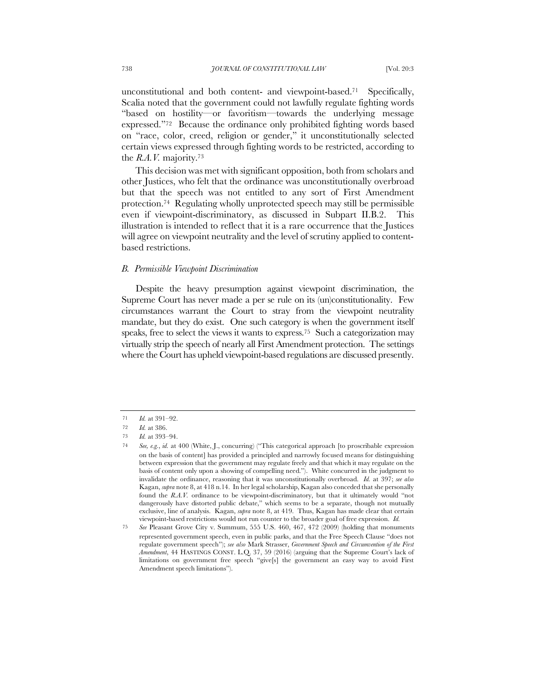unconstitutional and both content- and viewpoint-based.71 Specifically, Scalia noted that the government could not lawfully regulate fighting words "based on hostility—or favoritism—towards the underlying message expressed."72 Because the ordinance only prohibited fighting words based on "race, color, creed, religion or gender," it unconstitutionally selected certain views expressed through fighting words to be restricted, according to the *R.A.V.* majority.73

This decision was met with significant opposition, both from scholars and other Justices, who felt that the ordinance was unconstitutionally overbroad but that the speech was not entitled to any sort of First Amendment protection.74 Regulating wholly unprotected speech may still be permissible even if viewpoint-discriminatory, as discussed in Subpart II.B.2. This illustration is intended to reflect that it is a rare occurrence that the Justices will agree on viewpoint neutrality and the level of scrutiny applied to contentbased restrictions.

# *B. Permissible Viewpoint Discrimination*

Despite the heavy presumption against viewpoint discrimination, the Supreme Court has never made a per se rule on its (un)constitutionality. Few circumstances warrant the Court to stray from the viewpoint neutrality mandate, but they do exist. One such category is when the government itself speaks, free to select the views it wants to express.75 Such a categorization may virtually strip the speech of nearly all First Amendment protection. The settings where the Court has upheld viewpoint-based regulations are discussed presently.

<sup>71</sup> *Id.* at 391–92.

<sup>72</sup> *Id.* at 386.

<sup>73</sup> *Id.* at 393–94.

<sup>74</sup> *See, e.g.*, *id.* at 400 (White, J., concurring) ("This categorical approach [to proscribable expression on the basis of content] has provided a principled and narrowly focused means for distinguishing between expression that the government may regulate freely and that which it may regulate on the basis of content only upon a showing of compelling need."). White concurred in the judgment to invalidate the ordinance, reasoning that it was unconstitutionally overbroad. *Id.* at 397; *see also*  Kagan, *supra* note 8, at 418 n.14. In her legal scholarship, Kagan also conceded that she personally found the *R.A.V.* ordinance to be viewpoint-discriminatory, but that it ultimately would "not dangerously have distorted public debate," which seems to be a separate, though not mutually exclusive, line of analysis. Kagan, *supra* note 8, at 419. Thus, Kagan has made clear that certain viewpoint-based restrictions would not run counter to the broader goal of free expression. *Id.*

<sup>75</sup> *See* Pleasant Grove City v. Summum, 555 U.S. 460, 467, 472 (2009) (holding that monuments represented government speech, even in public parks, and that the Free Speech Clause "does not regulate government speech"); *see also* Mark Strasser, *Government Speech and Circumvention of the First Amendment*, 44 HASTINGS CONST. L.Q. 37, 59 (2016) (arguing that the Supreme Court's lack of limitations on government free speech "give[s] the government an easy way to avoid First Amendment speech limitations").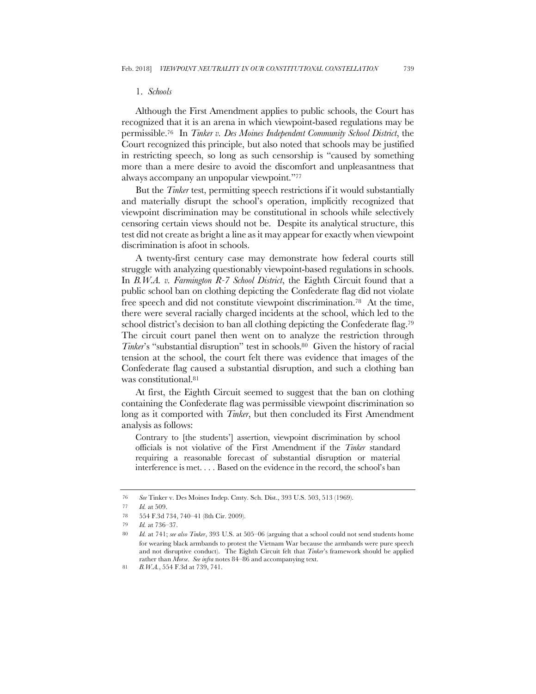#### 1. *Schools*

Although the First Amendment applies to public schools, the Court has recognized that it is an arena in which viewpoint-based regulations may be permissible.76 In *Tinker v. Des Moines Independent Community School District*, the Court recognized this principle, but also noted that schools may be justified in restricting speech, so long as such censorship is "caused by something more than a mere desire to avoid the discomfort and unpleasantness that always accompany an unpopular viewpoint."77

But the *Tinker* test, permitting speech restrictions if it would substantially and materially disrupt the school's operation, implicitly recognized that viewpoint discrimination may be constitutional in schools while selectively censoring certain views should not be. Despite its analytical structure, this test did not create as bright a line as it may appear for exactly when viewpoint discrimination is afoot in schools.

A twenty-first century case may demonstrate how federal courts still struggle with analyzing questionably viewpoint-based regulations in schools. In *B.W.A. v. Farmington R-7 School District*, the Eighth Circuit found that a public school ban on clothing depicting the Confederate flag did not violate free speech and did not constitute viewpoint discrimination.78 At the time, there were several racially charged incidents at the school, which led to the school district's decision to ban all clothing depicting the Confederate flag.<sup>79</sup> The circuit court panel then went on to analyze the restriction through *Tinker*'s "substantial disruption" test in schools.80 Given the history of racial tension at the school, the court felt there was evidence that images of the Confederate flag caused a substantial disruption, and such a clothing ban was constitutional.81

At first, the Eighth Circuit seemed to suggest that the ban on clothing containing the Confederate flag was permissible viewpoint discrimination so long as it comported with *Tinker*, but then concluded its First Amendment analysis as follows:

Contrary to [the students'] assertion, viewpoint discrimination by school officials is not violative of the First Amendment if the *Tinker* standard requiring a reasonable forecast of substantial disruption or material interference is met. . . . Based on the evidence in the record, the school's ban

<sup>76</sup> *See* Tinker v. Des Moines Indep. Cmty. Sch. Dist., 393 U.S. 503, 513 (1969).

<sup>77</sup> *Id.* at 509.

<sup>78</sup> 554 F.3d 734, 740–41 (8th Cir. 2009).

<sup>79</sup> *Id.* at 736–37.

<sup>80</sup> *Id.* at 741; *see also Tinker*, 393 U.S. at 505–06 (arguing that a school could not send students home for wearing black armbands to protest the Vietnam War because the armbands were pure speech and not disruptive conduct). The Eighth Circuit felt that *Tinker*'s framework should be applied rather than *Morse*. *See infra* notes 84–86 and accompanying text.

<sup>81</sup> *B.W.A.*, 554 F.3d at 739, 741.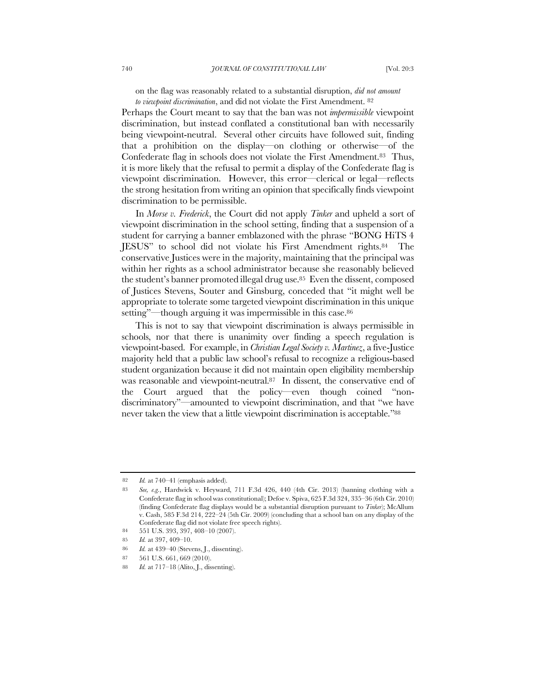on the flag was reasonably related to a substantial disruption, *did not amount to viewpoint discrimination*, and did not violate the First Amendment. 82

Perhaps the Court meant to say that the ban was not *impermissible* viewpoint discrimination, but instead conflated a constitutional ban with necessarily being viewpoint-neutral. Several other circuits have followed suit, finding that a prohibition on the display—on clothing or otherwise—of the Confederate flag in schools does not violate the First Amendment.83 Thus, it is more likely that the refusal to permit a display of the Confederate flag is viewpoint discrimination. However, this error—clerical or legal—reflects the strong hesitation from writing an opinion that specifically finds viewpoint discrimination to be permissible.

In *Morse v. Frederick*, the Court did not apply *Tinker* and upheld a sort of viewpoint discrimination in the school setting, finding that a suspension of a student for carrying a banner emblazoned with the phrase "BONG HiTS 4 JESUS" to school did not violate his First Amendment rights.84 The conservative Justices were in the majority, maintaining that the principal was within her rights as a school administrator because she reasonably believed the student's banner promoted illegal drug use.85 Even the dissent, composed of Justices Stevens, Souter and Ginsburg, conceded that "it might well be appropriate to tolerate some targeted viewpoint discrimination in this unique setting"—though arguing it was impermissible in this case.86

This is not to say that viewpoint discrimination is always permissible in schools, nor that there is unanimity over finding a speech regulation is viewpoint-based. For example, in *Christian Legal Society v. Martinez*, a five-Justice majority held that a public law school's refusal to recognize a religious-based student organization because it did not maintain open eligibility membership was reasonable and viewpoint-neutral.87 In dissent, the conservative end of the Court argued that the policy—even though coined "nondiscriminatory"—amounted to viewpoint discrimination, and that "we have never taken the view that a little viewpoint discrimination is acceptable."<sup>88</sup>

<sup>82</sup> *Id.* at 740–41 (emphasis added).

<sup>83</sup> *See, e.g.*, Hardwick v. Heyward, 711 F.3d 426, 440 (4th Cir. 2013) (banning clothing with a Confederate flag in school was constitutional); Defoe v. Spiva, 625 F.3d 324, 335–36 (6th Cir. 2010) (finding Confederate flag displays would be a substantial disruption pursuant to *Tinker*); McAllum v. Cash, 585 F.3d 214, 222–24 (5th Cir. 2009) (concluding that a school ban on any display of the Confederate flag did not violate free speech rights).

<sup>84</sup> 551 U.S. 393, 397, 408–10 (2007).

<sup>85</sup> *Id.* at 397, 409–10.

<sup>86</sup> *Id.* at 439–40 (Stevens, J., dissenting).

<sup>87</sup> 561 U.S. 661, 669 (2010).

<sup>88</sup> *Id.* at 717–18 (Alito, J., dissenting).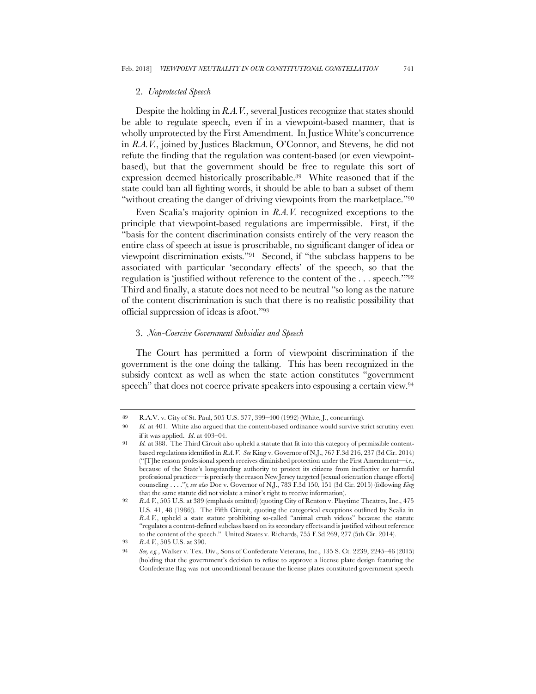#### 2. *Unprotected Speech*

Despite the holding in *R.A.V.*, several Justices recognize that states should be able to regulate speech, even if in a viewpoint-based manner, that is wholly unprotected by the First Amendment. In Justice White's concurrence in *R.A.V.*, joined by Justices Blackmun, O'Connor, and Stevens, he did not refute the finding that the regulation was content-based (or even viewpointbased), but that the government should be free to regulate this sort of expression deemed historically proscribable.89 White reasoned that if the state could ban all fighting words, it should be able to ban a subset of them "without creating the danger of driving viewpoints from the marketplace."90

Even Scalia's majority opinion in *R.A.V.* recognized exceptions to the principle that viewpoint-based regulations are impermissible. First, if the "basis for the content discrimination consists entirely of the very reason the entire class of speech at issue is proscribable, no significant danger of idea or viewpoint discrimination exists."91 Second, if "the subclass happens to be associated with particular 'secondary effects' of the speech, so that the regulation is 'justified without reference to the content of the . . . speech.'"92 Third and finally, a statute does not need to be neutral "so long as the nature of the content discrimination is such that there is no realistic possibility that official suppression of ideas is afoot."93

### 3. *Non-Coercive Government Subsidies and Speech*

The Court has permitted a form of viewpoint discrimination if the government is the one doing the talking. This has been recognized in the subsidy context as well as when the state action constitutes "government speech" that does not coerce private speakers into espousing a certain view.<sup>94</sup>

<sup>89</sup> R.A.V. v. City of St. Paul, 505 U.S. 377, 399–400 (1992) (White, J., concurring).

<sup>90</sup> *Id.* at 401. White also argued that the content-based ordinance would survive strict scrutiny even if it was applied. *Id*. at 403–04.

<sup>91</sup> *Id.* at 388. The Third Circuit also upheld a statute that fit into this category of permissible contentbased regulations identified in *R.A.V. See* King v. Governor of N.J., 767 F.3d 216, 237 (3d Cir. 2014) ("[T]he reason professional speech receives diminished protection under the First Amendment—*i.e.*, because of the State's longstanding authority to protect its citizens from ineffective or harmful professional practices—is precisely the reason New Jersey targeted [sexual orientation change efforts] counseling . . . ."); *see also* Doe v. Governor of N.J., 783 F.3d 150, 151 (3d Cir. 2015) (following *King*  that the same statute did not violate a minor's right to receive information).

<sup>92</sup> *R.A.V.*, 505 U.S. at 389 (emphasis omitted) (quoting City of Renton v. Playtime Theatres, Inc., 475 U.S. 41, 48 (1986)). The Fifth Circuit, quoting the categorical exceptions outlined by Scalia in *R.A.V.*, upheld a state statute prohibiting so-called "animal crush videos" because the statute "regulates a content-defined subclass based on its secondary effects and is justified without reference to the content of the speech." United States v. Richards, 755 F.3d 269, 277 (5th Cir. 2014).

<sup>93</sup> *R.A.V.*, 505 U.S. at 390.

<sup>94</sup> *See, e.g.*, Walker v. Tex. Div., Sons of Confederate Veterans, Inc., 135 S. Ct. 2239, 2245–46 (2015) (holding that the government's decision to refuse to approve a license plate design featuring the Confederate flag was not unconditional because the license plates constituted government speech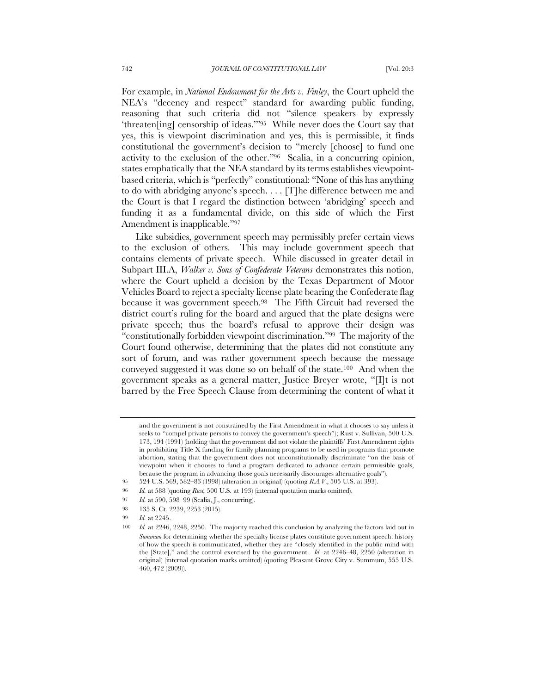For example, in *National Endowment for the Arts v. Finley*, the Court upheld the NEA's "decency and respect" standard for awarding public funding, reasoning that such criteria did not "silence speakers by expressly 'threaten[ing] censorship of ideas.'"95 While never does the Court say that yes, this is viewpoint discrimination and yes, this is permissible, it finds constitutional the government's decision to "merely [choose] to fund one activity to the exclusion of the other."96 Scalia, in a concurring opinion, states emphatically that the NEA standard by its terms establishes viewpointbased criteria, which is "perfectly" constitutional: "None of this has anything to do with abridging anyone's speech. . . . [T]he difference between me and the Court is that I regard the distinction between 'abridging' speech and funding it as a fundamental divide, on this side of which the First Amendment is inapplicable."97

Like subsidies, government speech may permissibly prefer certain views to the exclusion of others. This may include government speech that contains elements of private speech. While discussed in greater detail in Subpart III.A, *Walker v. Sons of Confederate Veterans* demonstrates this notion, where the Court upheld a decision by the Texas Department of Motor Vehicles Board to reject a specialty license plate bearing the Confederate flag because it was government speech.98 The Fifth Circuit had reversed the district court's ruling for the board and argued that the plate designs were private speech; thus the board's refusal to approve their design was "constitutionally forbidden viewpoint discrimination."99 The majority of the Court found otherwise, determining that the plates did not constitute any sort of forum, and was rather government speech because the message conveyed suggested it was done so on behalf of the state.100 And when the government speaks as a general matter, Justice Breyer wrote, "[I]t is not barred by the Free Speech Clause from determining the content of what it

- 97 *Id.* at 590, 598–99 (Scalia, J., concurring).
- 98 135 S. Ct. 2239, 2253 (2015).

and the government is not constrained by the First Amendment in what it chooses to say unless it seeks to "compel private persons to convey the government's speech"); Rust v. Sullivan, 500 U.S. 173, 194 (1991) (holding that the government did not violate the plaintiffs' First Amendment rights in prohibiting Title X funding for family planning programs to be used in programs that promote abortion, stating that the government does not unconstitutionally discriminate "on the basis of viewpoint when it chooses to fund a program dedicated to advance certain permissible goals, because the program in advancing those goals necessarily discourages alternative goals").

<sup>95</sup> 524 U.S. 569, 582–83 (1998) (alteration in original) (quoting *R.A.V*., 505 U.S. at 393).

<sup>96</sup> *Id.* at 588 (quoting *Rust,* 500 U.S. at 193) (internal quotation marks omitted).

<sup>99</sup> *Id.* at 2245.

<sup>100</sup> *Id.* at 2246, 2248, 2250. The majority reached this conclusion by analyzing the factors laid out in *Summum* for determining whether the specialty license plates constitute government speech: history of how the speech is communicated, whether they are "closely identified in the public mind with the [State]," and the control exercised by the government. *Id.* at 2246–48, 2250 (alteration in original) (internal quotation marks omitted) (quoting Pleasant Grove City v. Summum, 555 U.S. 460, 472 (2009)).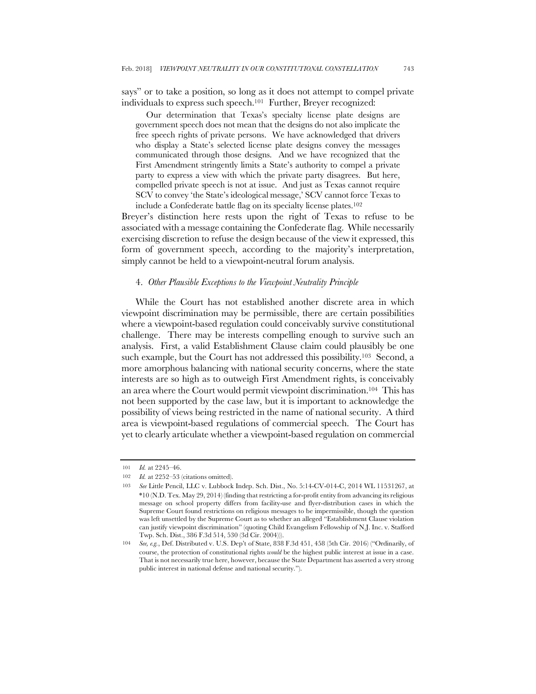says" or to take a position, so long as it does not attempt to compel private individuals to express such speech.101 Further, Breyer recognized:

Our determination that Texas's specialty license plate designs are government speech does not mean that the designs do not also implicate the free speech rights of private persons. We have acknowledged that drivers who display a State's selected license plate designs convey the messages communicated through those designs. And we have recognized that the First Amendment stringently limits a State's authority to compel a private party to express a view with which the private party disagrees. But here, compelled private speech is not at issue. And just as Texas cannot require SCV to convey 'the State's ideological message,' SCV cannot force Texas to include a Confederate battle flag on its specialty license plates.102

Breyer's distinction here rests upon the right of Texas to refuse to be associated with a message containing the Confederate flag. While necessarily exercising discretion to refuse the design because of the view it expressed, this form of government speech, according to the majority's interpretation, simply cannot be held to a viewpoint-neutral forum analysis.

#### 4. *Other Plausible Exceptions to the Viewpoint Neutrality Principle*

While the Court has not established another discrete area in which viewpoint discrimination may be permissible, there are certain possibilities where a viewpoint-based regulation could conceivably survive constitutional challenge. There may be interests compelling enough to survive such an analysis. First, a valid Establishment Clause claim could plausibly be one such example, but the Court has not addressed this possibility.<sup>103</sup> Second, a more amorphous balancing with national security concerns, where the state interests are so high as to outweigh First Amendment rights, is conceivably an area where the Court would permit viewpoint discrimination.104 This has not been supported by the case law, but it is important to acknowledge the possibility of views being restricted in the name of national security. A third area is viewpoint-based regulations of commercial speech. The Court has yet to clearly articulate whether a viewpoint-based regulation on commercial

<sup>101</sup> *Id.* at 2245–46.

<sup>102</sup> *Id.* at 2252–53 (citations omitted).

<sup>103</sup> *See* Little Pencil, LLC v. Lubbock Indep. Sch. Dist., No. 5:14-CV-014-C, 2014 WL 11531267, at \*10 (N.D. Tex. May 29, 2014) (finding that restricting a for-profit entity from advancing its religious message on school property differs from facility-use and flyer-distribution cases in which the Supreme Court found restrictions on religious messages to be impermissible, though the question was left unsettled by the Supreme Court as to whether an alleged "Establishment Clause violation can justify viewpoint discrimination" (quoting Child Evangelism Fellowship of N.J. Inc. v. Stafford Twp. Sch. Dist., 386 F.3d 514, 530 (3d Cir. 2004))).

<sup>104</sup> *See, e.g.*, Def. Distributed v. U.S. Dep't of State, 838 F.3d 451, 458 (5th Cir. 2016) ("Ordinarily, of course, the protection of constitutional rights *would* be the highest public interest at issue in a case. That is not necessarily true here, however, because the State Department has asserted a very strong public interest in national defense and national security.").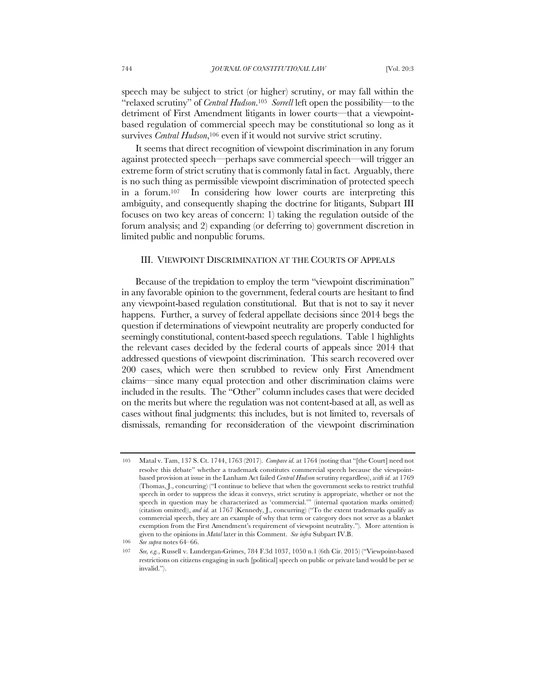speech may be subject to strict (or higher) scrutiny, or may fall within the "relaxed scrutiny" of *Central Hudson*.105 *Sorrell* left open the possibility—to the detriment of First Amendment litigants in lower courts—that a viewpointbased regulation of commercial speech may be constitutional so long as it survives *Central Hudson*,<sup>106</sup> even if it would not survive strict scrutiny.

It seems that direct recognition of viewpoint discrimination in any forum against protected speech—perhaps save commercial speech—will trigger an extreme form of strict scrutiny that is commonly fatal in fact. Arguably, there is no such thing as permissible viewpoint discrimination of protected speech in a forum.107 In considering how lower courts are interpreting this ambiguity, and consequently shaping the doctrine for litigants, Subpart III focuses on two key areas of concern: 1) taking the regulation outside of the forum analysis; and 2) expanding (or deferring to) government discretion in limited public and nonpublic forums.

# III. VIEWPOINT DISCRIMINATION AT THE COURTS OF APPEALS

Because of the trepidation to employ the term "viewpoint discrimination" in any favorable opinion to the government, federal courts are hesitant to find any viewpoint-based regulation constitutional. But that is not to say it never happens. Further, a survey of federal appellate decisions since 2014 begs the question if determinations of viewpoint neutrality are properly conducted for seemingly constitutional, content-based speech regulations. Table 1 highlights the relevant cases decided by the federal courts of appeals since 2014 that addressed questions of viewpoint discrimination. This search recovered over 200 cases, which were then scrubbed to review only First Amendment claims—since many equal protection and other discrimination claims were included in the results. The "Other" column includes cases that were decided on the merits but where the regulation was not content-based at all, as well as cases without final judgments: this includes, but is not limited to, reversals of dismissals, remanding for reconsideration of the viewpoint discrimination

<sup>105</sup> Matal v. Tam, 137 S. Ct. 1744, 1763 (2017). *Compare id.* at 1764 (noting that "[the Court] need not resolve this debate" whether a trademark constitutes commercial speech because the viewpointbased provision at issue in the Lanham Act failed *Central Hudson* scrutiny regardless), *with id.* at 1769 (Thomas, J., concurring) ("I continue to believe that when the government seeks to restrict truthful speech in order to suppress the ideas it conveys, strict scrutiny is appropriate, whether or not the speech in question may be characterized as 'commercial.'" (internal quotation marks omitted) (citation omitted)), *and id.* at 1767 (Kennedy, J., concurring) ("To the extent trademarks qualify as commercial speech, they are an example of why that term or category does not serve as a blanket exemption from the First Amendment's requirement of viewpoint neutrality."). More attention is given to the opinions in *Matal* later in this Comment. *See infra* Subpart IV.B.

<sup>106</sup> *See supra* notes 64–66.

<sup>107</sup> *See, e.g.*, Russell v. Lundergan-Grimes, 784 F.3d 1037, 1050 n.1 (6th Cir. 2015) ("Viewpoint-based restrictions on citizens engaging in such [political] speech on public or private land would be per se invalid.").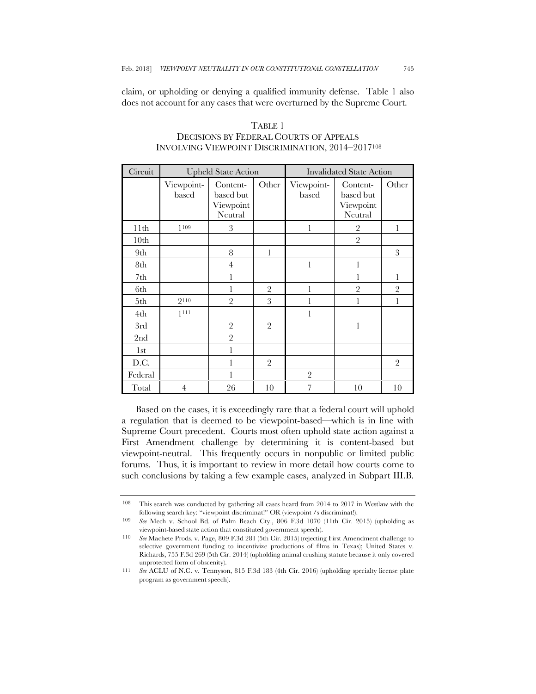claim, or upholding or denying a qualified immunity defense. Table 1 also does not account for any cases that were overturned by the Supreme Court.

| Circuit          | <b>Upheld State Action</b> |                                               |                | <b>Invalidated State Action</b> |                                               |                |
|------------------|----------------------------|-----------------------------------------------|----------------|---------------------------------|-----------------------------------------------|----------------|
|                  | Viewpoint-<br>based        | Content-<br>based but<br>Viewpoint<br>Neutral | Other          | Viewpoint-<br>based             | Content-<br>based but<br>Viewpoint<br>Neutral | Other          |
| 11 <sup>th</sup> | 1109                       | 3                                             |                | 1                               | $\sqrt{2}$                                    | 1              |
| 10 <sub>th</sub> |                            |                                               |                |                                 | $\overline{2}$                                |                |
| 9th              |                            | 8                                             | 1              |                                 |                                               | 3              |
| 8th              |                            | $\overline{4}$                                |                | 1                               | 1                                             |                |
| 7th              |                            | 1                                             |                |                                 | 1                                             | 1              |
| 6th              |                            | 1                                             | $\overline{2}$ | 1                               | $\overline{2}$                                | $\overline{2}$ |
| 5th              | 9110                       | $\overline{2}$                                | 3              | 1                               | 1                                             | 1              |
| 4th              | 1111                       |                                               |                | 1                               |                                               |                |
| 3rd              |                            | $\overline{2}$                                | $\overline{2}$ |                                 | $\mathbf{1}$                                  |                |
| 2nd              |                            | $\overline{2}$                                |                |                                 |                                               |                |
| 1 <sub>st</sub>  |                            | 1                                             |                |                                 |                                               |                |
| D.C.             |                            |                                               | $\overline{2}$ |                                 |                                               | $\overline{2}$ |
| Federal          |                            |                                               |                | $\overline{2}$                  |                                               |                |
| Total            | $\overline{4}$             | 26                                            | 10             | 7                               | 10                                            | 10             |

# TABLE 1 DECISIONS BY FEDERAL COURTS OF APPEALS INVOLVING VIEWPOINT DISCRIMINATION, 2014–2017108

Based on the cases, it is exceedingly rare that a federal court will uphold a regulation that is deemed to be viewpoint-based—which is in line with Supreme Court precedent. Courts most often uphold state action against a First Amendment challenge by determining it is content-based but viewpoint-neutral. This frequently occurs in nonpublic or limited public forums. Thus, it is important to review in more detail how courts come to such conclusions by taking a few example cases, analyzed in Subpart III.B.

<sup>108</sup> This search was conducted by gathering all cases heard from 2014 to 2017 in Westlaw with the following search key: "viewpoint discriminat!" OR (viewpoint /s discriminat!).

<sup>109</sup> *See* Mech v. School Bd. of Palm Beach Cty., 806 F.3d 1070 (11th Cir. 2015) (upholding as viewpoint-based state action that constituted government speech).

<sup>110</sup> *See* Machete Prods. v. Page, 809 F.3d 281 (5th Cir. 2015) (rejecting First Amendment challenge to selective government funding to incentivize productions of films in Texas); United States v. Richards, 755 F.3d 269 (5th Cir. 2014) (upholding animal crushing statute because it only covered unprotected form of obscenity).

<sup>111</sup> *See* ACLU of N.C. v. Tennyson, 815 F.3d 183 (4th Cir. 2016) (upholding specialty license plate program as government speech).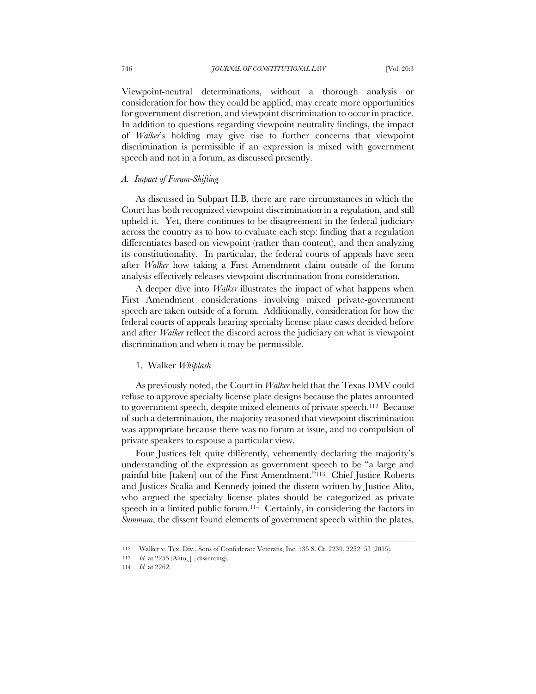Viewpoint-neutral determinations, without a thorough analysis or consideration for how they could be applied, may create more opportunities for government discretion, and viewpoint discrimination to occur in practice. In addition to questions regarding viewpoint neutrality findings, the impact of *Walker*'s holding may give rise to further concerns that viewpoint discrimination is permissible if an expression is mixed with government speech and not in a forum, as discussed presently.

### *A. Impact of Forum-Shifting*

As discussed in Subpart II.B, there are rare circumstances in which the Court has both recognized viewpoint discrimination in a regulation, and still upheld it. Yet, there continues to be disagreement in the federal judiciary across the country as to how to evaluate each step: finding that a regulation differentiates based on viewpoint (rather than content), and then analyzing its constitutionality. In particular, the federal courts of appeals have seen after *Walker* how taking a First Amendment claim outside of the forum analysis effectively releases viewpoint discrimination from consideration.

A deeper dive into *Walker* illustrates the impact of what happens when First Amendment considerations involving mixed private-government speech are taken outside of a forum. Additionally, consideration for how the federal courts of appeals hearing specialty license plate cases decided before and after *Walker* reflect the discord across the judiciary on what is viewpoint discrimination and when it may be permissible.

### 1.Walker *Whiplash*

As previously noted, the Court in *Walker* held that the Texas DMV could refuse to approve specialty license plate designs because the plates amounted to government speech, despite mixed elements of private speech.112 Because of such a determination, the majority reasoned that viewpoint discrimination was appropriate because there was no forum at issue, and no compulsion of private speakers to espouse a particular view.

Four Justices felt quite differently, vehemently declaring the majority's understanding of the expression as government speech to be "a large and painful bite [taken] out of the First Amendment."113 Chief Justice Roberts and Justices Scalia and Kennedy joined the dissent written by Justice Alito, who argued the specialty license plates should be categorized as private speech in a limited public forum.<sup>114</sup> Certainly, in considering the factors in *Summum*, the dissent found elements of government speech within the plates,

<sup>112</sup> Walker v. Tex. Div., Sons of Confederate Veterans, Inc. 135 S. Ct. 2239, 2252–53 (2015).

<sup>113</sup> *Id.* at 2255 (Alito, J., dissenting).

<sup>114</sup> *Id.* at 2262.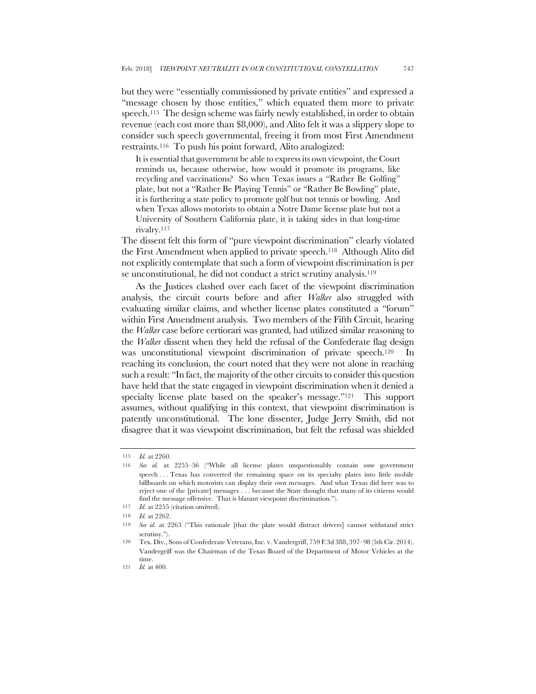but they were "essentially commissioned by private entities" and expressed a "message chosen by those entities," which equated them more to private speech.115 The design scheme was fairly newly established, in order to obtain revenue (each cost more than \$8,000), and Alito felt it was a slippery slope to consider such speech governmental, freeing it from most First Amendment restraints.116 To push his point forward, Alito analogized:

It is essential that government be able to express its own viewpoint, the Court reminds us, because otherwise, how would it promote its programs, like recycling and vaccinations? So when Texas issues a "Rather Be Golfing" plate, but not a "Rather Be Playing Tennis" or "Rather Be Bowling" plate, it is furthering a state policy to promote golf but not tennis or bowling. And when Texas allows motorists to obtain a Notre Dame license plate but not a University of Southern California plate, it is taking sides in that long-time rivalry.117

The dissent felt this form of "pure viewpoint discrimination" clearly violated the First Amendment when applied to private speech.118 Although Alito did not explicitly contemplate that such a form of viewpoint discrimination is per se unconstitutional, he did not conduct a strict scrutiny analysis.<sup>119</sup>

As the Justices clashed over each facet of the viewpoint discrimination analysis, the circuit courts before and after *Walker* also struggled with evaluating similar claims, and whether license plates constituted a "forum" within First Amendment analysis. Two members of the Fifth Circuit, hearing the *Walker* case before certiorari was granted, had utilized similar reasoning to the *Walker* dissent when they held the refusal of the Confederate flag design was unconstitutional viewpoint discrimination of private speech.<sup>120</sup> reaching its conclusion, the court noted that they were not alone in reaching such a result: "In fact, the majority of the other circuits to consider this question have held that the state engaged in viewpoint discrimination when it denied a specialty license plate based on the speaker's message."<sup>121</sup> This support assumes, without qualifying in this context, that viewpoint discrimination is patently unconstitutional. The lone dissenter, Judge Jerry Smith, did not disagree that it was viewpoint discrimination, but felt the refusal was shielded

<sup>115</sup> *Id.* at 2260.

<sup>116</sup> *See id.* at 2255–56 ("While all license plates unquestionably contain *some* government speech . . . Texas has converted the remaining space on its specialty plates into little mobile billboards on which motorists can display their own messages. And what Texas did here was to reject one of the [private] messages . . . because the State thought that many of its citizens would find the message offensive. That is blatant viewpoint discrimination.").

<sup>117</sup> *Id.* at 2255 (citation omitted).

<sup>118</sup> *Id.* at 2262.

<sup>119</sup> *See id.* at 2263 ("This rationale [that the plate would distract drivers] cannot withstand strict scrutiny.").

<sup>120</sup> Tex. Div., Sons of Confederate Veterans, Inc. v. Vandergriff, 759 F.3d 388, 397–98 (5th Cir. 2014). Vandergriff was the Chairman of the Texas Board of the Department of Motor Vehicles at the time.

<sup>121</sup> *Id.* at 400.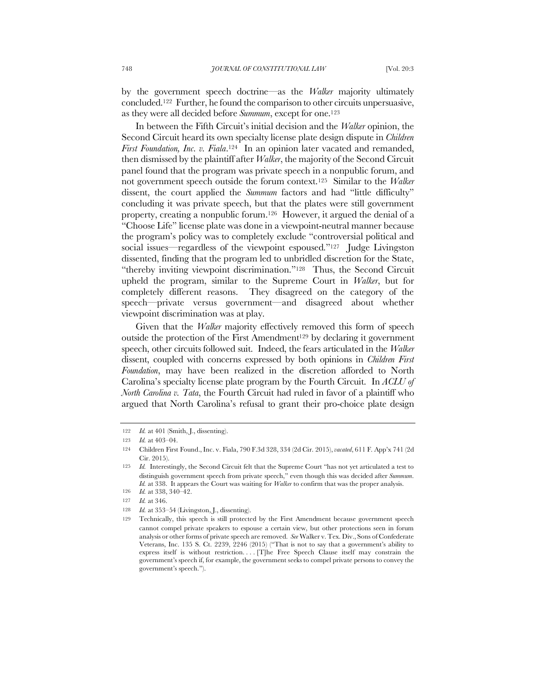by the government speech doctrine—as the *Walker* majority ultimately concluded.122 Further, he found the comparison to other circuits unpersuasive, as they were all decided before *Summum*, except for one.123

In between the Fifth Circuit's initial decision and the *Walker* opinion, the Second Circuit heard its own specialty license plate design dispute in *Children First Foundation, Inc. v. Fiala*.124 In an opinion later vacated and remanded, then dismissed by the plaintiff after *Walker*, the majority of the Second Circuit panel found that the program was private speech in a nonpublic forum, and not government speech outside the forum context.125 Similar to the *Walker*  dissent, the court applied the *Summum* factors and had "little difficulty" concluding it was private speech, but that the plates were still government property, creating a nonpublic forum.126 However, it argued the denial of a "Choose Life" license plate was done in a viewpoint-neutral manner because the program's policy was to completely exclude "controversial political and social issues—regardless of the viewpoint espoused."<sup>127</sup> Judge Livingston dissented, finding that the program led to unbridled discretion for the State, "thereby inviting viewpoint discrimination."128 Thus, the Second Circuit upheld the program, similar to the Supreme Court in *Walker*, but for completely different reasons. They disagreed on the category of the speech—private versus government—and disagreed about whether viewpoint discrimination was at play.

Given that the *Walker* majority effectively removed this form of speech outside the protection of the First Amendment<sup>129</sup> by declaring it government speech, other circuits followed suit. Indeed, the fears articulated in the *Walker* dissent, coupled with concerns expressed by both opinions in *Children First Foundation*, may have been realized in the discretion afforded to North Carolina's specialty license plate program by the Fourth Circuit. In *ACLU of North Carolina v. Tata*, the Fourth Circuit had ruled in favor of a plaintiff who argued that North Carolina's refusal to grant their pro-choice plate design

<sup>122</sup> *Id.* at 401 (Smith, J., dissenting).

<sup>123</sup> *Id.* at 403–04.

<sup>124</sup> Children First Found., Inc. v. Fiala, 790 F.3d 328, 334 (2d Cir. 2015), *vacated*, 611 F. App'x 741 (2d Cir. 2015).

<sup>125</sup> *Id.* Interestingly, the Second Circuit felt that the Supreme Court "has not yet articulated a test to distinguish government speech from private speech," even though this was decided after *Summum*. *Id.* at 338. It appears the Court was waiting for *Walker* to confirm that was the proper analysis.

<sup>126</sup> *Id.* at 338, 340–42.

<sup>127</sup> *Id.* at 346.

<sup>128</sup> *Id.* at 353-54 (Livingston, J., dissenting).

<sup>129</sup> Technically, this speech is still protected by the First Amendment because government speech cannot compel private speakers to espouse a certain view, but other protections seen in forum analysis or other forms of private speech are removed. *See* Walker v. Tex. Div., Sons of Confederate Veterans, Inc. 135 S. Ct. 2239, 2246 (2015) ("That is not to say that a government's ability to express itself is without restriction. . . . [T]he Free Speech Clause itself may constrain the government's speech if, for example, the government seeks to compel private persons to convey the government's speech.").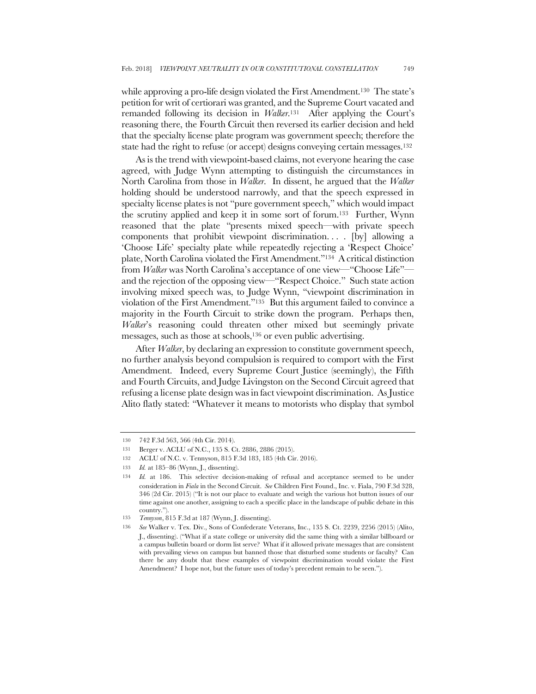while approving a pro-life design violated the First Amendment.<sup>130</sup> The state's petition for writ of certiorari was granted, and the Supreme Court vacated and remanded following its decision in *Walker*.131 After applying the Court's reasoning there, the Fourth Circuit then reversed its earlier decision and held that the specialty license plate program was government speech; therefore the state had the right to refuse (or accept) designs conveying certain messages.132

As is the trend with viewpoint-based claims, not everyone hearing the case agreed, with Judge Wynn attempting to distinguish the circumstances in North Carolina from those in *Walker*. In dissent, he argued that the *Walker* holding should be understood narrowly, and that the speech expressed in specialty license plates is not "pure government speech," which would impact the scrutiny applied and keep it in some sort of forum.133 Further, Wynn reasoned that the plate "presents mixed speech—with private speech components that prohibit viewpoint discrimination. . . . [by] allowing a 'Choose Life' specialty plate while repeatedly rejecting a 'Respect Choice' plate, North Carolina violated the First Amendment."134 A critical distinction from *Walker* was North Carolina's acceptance of one view—"Choose Life" and the rejection of the opposing view—"Respect Choice." Such state action involving mixed speech was, to Judge Wynn, "viewpoint discrimination in violation of the First Amendment."135 But this argument failed to convince a majority in the Fourth Circuit to strike down the program. Perhaps then, *Walker*'s reasoning could threaten other mixed but seemingly private messages, such as those at schools,136 or even public advertising.

After *Walker*, by declaring an expression to constitute government speech, no further analysis beyond compulsion is required to comport with the First Amendment. Indeed, every Supreme Court Justice (seemingly), the Fifth and Fourth Circuits, and Judge Livingston on the Second Circuit agreed that refusing a license plate design was in fact viewpoint discrimination. As Justice Alito flatly stated: "Whatever it means to motorists who display that symbol

<sup>130</sup> 742 F.3d 563, 566 (4th Cir. 2014).

<sup>131</sup> Berger v. ACLU of N.C., 135 S. Ct. 2886, 2886 (2015).

<sup>132</sup> ACLU of N.C. v. Tennyson, 815 F.3d 183, 185 (4th Cir. 2016).

<sup>133</sup> *Id.* at 185–86 (Wynn, J., dissenting).

<sup>134</sup> *Id.* at 186.This selective decision-making of refusal and acceptance seemed to be under consideration in *Fiala* in the Second Circuit. *See* Children First Found., Inc. v. Fiala, 790 F.3d 328, 346 (2d Cir. 2015) ("It is not our place to evaluate and weigh the various hot button issues of our time against one another, assigning to each a specific place in the landscape of public debate in this country.").

<sup>135</sup> *Tennyson*, 815 F.3d at 187 (Wynn, J. dissenting).

<sup>136</sup> *See* Walker v. Tex. Div., Sons of Confederate Veterans, Inc., 135 S. Ct. 2239, 2256 (2015) (Alito, J., dissenting). ("What if a state college or university did the same thing with a similar billboard or a campus bulletin board or dorm list serve? What if it allowed private messages that are consistent with prevailing views on campus but banned those that disturbed some students or faculty? Can there be any doubt that these examples of viewpoint discrimination would violate the First Amendment? I hope not, but the future uses of today's precedent remain to be seen.").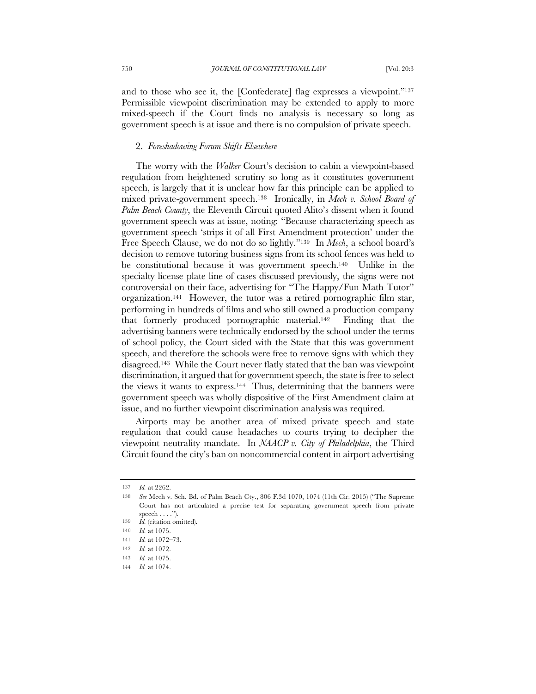and to those who see it, the [Confederate] flag expresses a viewpoint."137 Permissible viewpoint discrimination may be extended to apply to more mixed-speech if the Court finds no analysis is necessary so long as government speech is at issue and there is no compulsion of private speech.

#### 2. *Foreshadowing Forum Shifts Elsewhere*

The worry with the *Walker* Court's decision to cabin a viewpoint-based regulation from heightened scrutiny so long as it constitutes government speech, is largely that it is unclear how far this principle can be applied to mixed private-government speech.138 Ironically, in *Mech v. School Board of Palm Beach County*, the Eleventh Circuit quoted Alito's dissent when it found government speech was at issue, noting: "Because characterizing speech as government speech 'strips it of all First Amendment protection' under the Free Speech Clause, we do not do so lightly."139 In *Mech*, a school board's decision to remove tutoring business signs from its school fences was held to be constitutional because it was government speech.140 Unlike in the specialty license plate line of cases discussed previously, the signs were not controversial on their face, advertising for "The Happy/Fun Math Tutor" organization.141 However, the tutor was a retired pornographic film star, performing in hundreds of films and who still owned a production company that formerly produced pornographic material.142 Finding that the advertising banners were technically endorsed by the school under the terms of school policy, the Court sided with the State that this was government speech, and therefore the schools were free to remove signs with which they disagreed.143 While the Court never flatly stated that the ban was viewpoint discrimination, it argued that for government speech, the state is free to select the views it wants to express.144 Thus, determining that the banners were government speech was wholly dispositive of the First Amendment claim at issue, and no further viewpoint discrimination analysis was required.

Airports may be another area of mixed private speech and state regulation that could cause headaches to courts trying to decipher the viewpoint neutrality mandate. In *NAACP v. City of Philadelphia*, the Third Circuit found the city's ban on noncommercial content in airport advertising

<sup>137</sup> *Id.* at 2262.

<sup>138</sup> *See* Mech v. Sch. Bd. of Palm Beach Cty., 806 F.3d 1070, 1074 (11th Cir. 2015) ("The Supreme Court has not articulated a precise test for separating government speech from private speech  $\dots$ ."

<sup>139</sup> *Id.* (citation omitted).

<sup>140</sup> *Id.* at 1075.

<sup>141</sup> *Id.* at 1072–73.

<sup>142</sup> *Id.* at 1072.

<sup>143</sup> *Id.* at 1075.

<sup>144</sup> *Id.* at 1074.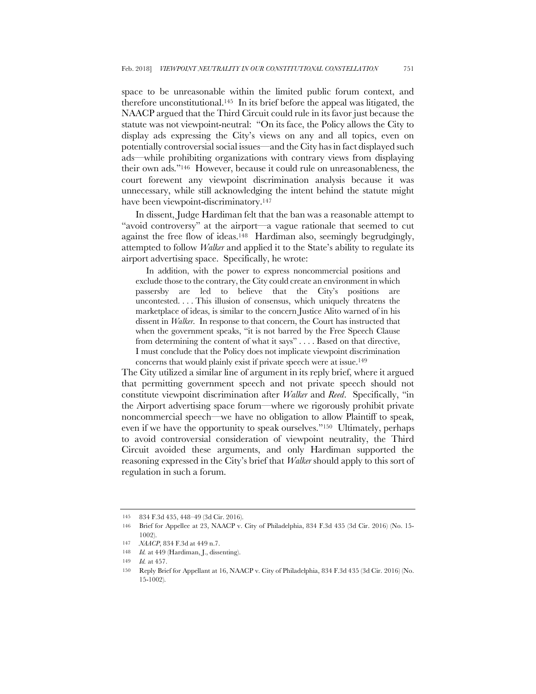space to be unreasonable within the limited public forum context, and therefore unconstitutional.145 In its brief before the appeal was litigated, the NAACP argued that the Third Circuit could rule in its favor just because the statute was not viewpoint-neutral: "On its face, the Policy allows the City to display ads expressing the City's views on any and all topics, even on potentially controversial social issues—and the City has in fact displayed such ads—while prohibiting organizations with contrary views from displaying their own ads."146 However, because it could rule on unreasonableness, the court forewent any viewpoint discrimination analysis because it was unnecessary, while still acknowledging the intent behind the statute might have been viewpoint-discriminatory.<sup>147</sup>

In dissent, Judge Hardiman felt that the ban was a reasonable attempt to "avoid controversy" at the airport—a vague rationale that seemed to cut against the free flow of ideas.148 Hardiman also, seemingly begrudgingly, attempted to follow *Walker* and applied it to the State's ability to regulate its airport advertising space. Specifically, he wrote:

In addition, with the power to express noncommercial positions and exclude those to the contrary, the City could create an environment in which passersby are led to believe that the City's positions are uncontested. . . . This illusion of consensus, which uniquely threatens the marketplace of ideas, is similar to the concern Justice Alito warned of in his dissent in *Walker*. In response to that concern, the Court has instructed that when the government speaks, "it is not barred by the Free Speech Clause from determining the content of what it says" . . . . Based on that directive, I must conclude that the Policy does not implicate viewpoint discrimination

concerns that would plainly exist if private speech were at issue.<sup>149</sup>

The City utilized a similar line of argument in its reply brief, where it argued that permitting government speech and not private speech should not constitute viewpoint discrimination after *Walker* and *Reed*. Specifically, "in the Airport advertising space forum—where we rigorously prohibit private noncommercial speech—we have no obligation to allow Plaintiff to speak, even if we have the opportunity to speak ourselves."150 Ultimately, perhaps to avoid controversial consideration of viewpoint neutrality, the Third Circuit avoided these arguments, and only Hardiman supported the reasoning expressed in the City's brief that *Walker* should apply to this sort of regulation in such a forum.

<sup>145</sup> 834 F.3d 435, 448–49 (3d Cir. 2016).

<sup>146</sup> Brief for Appellee at 23, NAACP v. City of Philadelphia, 834 F.3d 435 (3d Cir. 2016) (No. 15- 1002).

<sup>147</sup> *NAACP*, 834 F.3d at 449 n.7.

<sup>148</sup> *Id.* at 449 (Hardiman, J., dissenting).

<sup>149</sup> *Id.* at 457.

<sup>150</sup> Reply Brief for Appellant at 16, NAACP v. City of Philadelphia, 834 F.3d 435 (3d Cir. 2016) (No. 15-1002).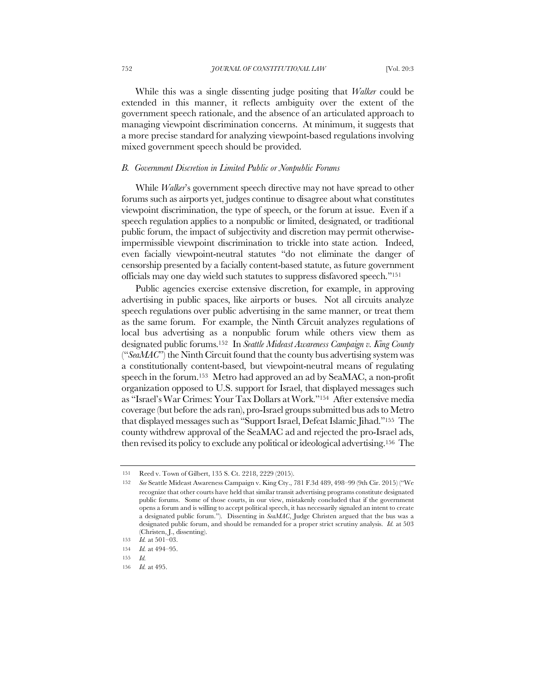While this was a single dissenting judge positing that *Walker* could be extended in this manner, it reflects ambiguity over the extent of the government speech rationale, and the absence of an articulated approach to managing viewpoint discrimination concerns. At minimum, it suggests that a more precise standard for analyzing viewpoint-based regulations involving mixed government speech should be provided.

### *B. Government Discretion in Limited Public or Nonpublic Forums*

While *Walker*'s government speech directive may not have spread to other forums such as airports yet, judges continue to disagree about what constitutes viewpoint discrimination, the type of speech, or the forum at issue. Even if a speech regulation applies to a nonpublic or limited, designated, or traditional public forum, the impact of subjectivity and discretion may permit otherwiseimpermissible viewpoint discrimination to trickle into state action. Indeed, even facially viewpoint-neutral statutes "do not eliminate the danger of censorship presented by a facially content-based statute, as future government officials may one day wield such statutes to suppress disfavored speech."151

Public agencies exercise extensive discretion, for example, in approving advertising in public spaces, like airports or buses. Not all circuits analyze speech regulations over public advertising in the same manner, or treat them as the same forum. For example, the Ninth Circuit analyzes regulations of local bus advertising as a nonpublic forum while others view them as designated public forums.152 In *Seattle Mideast Awareness Campaign v. King County* ("*SeaMAC*") the Ninth Circuit found that the county bus advertising system was a constitutionally content-based, but viewpoint-neutral means of regulating speech in the forum.153 Metro had approved an ad by SeaMAC, a non-profit organization opposed to U.S. support for Israel, that displayed messages such as "Israel's War Crimes: Your Tax Dollars at Work."154 After extensive media coverage (but before the ads ran), pro-Israel groups submitted bus ads to Metro that displayed messages such as "Support Israel, Defeat Islamic Jihad."155 The county withdrew approval of the SeaMAC ad and rejected the pro-Israel ads, then revised its policy to exclude any political or ideological advertising.156 The

<sup>151</sup> Reed v. Town of Gilbert, 135 S. Ct. 2218, 2229 (2015).

<sup>152</sup> *See* Seattle Mideast Awareness Campaign v. King Cty., 781 F.3d 489, 498–99 (9th Cir. 2015) ("We recognize that other courts have held that similar transit advertising programs constitute designated public forums. Some of those courts, in our view, mistakenly concluded that if the government opens a forum and is willing to accept political speech, it has necessarily signaled an intent to create a designated public forum."). Dissenting in *SeaMAC*, Judge Christen argued that the bus was a designated public forum, and should be remanded for a proper strict scrutiny analysis. *Id.* at 503 (Christen, J., dissenting).

<sup>153</sup> *Id.* at 501–03. 154 *Id.* at 494–95.

<sup>155</sup> *Id.*

<sup>156</sup> *Id.* at 495.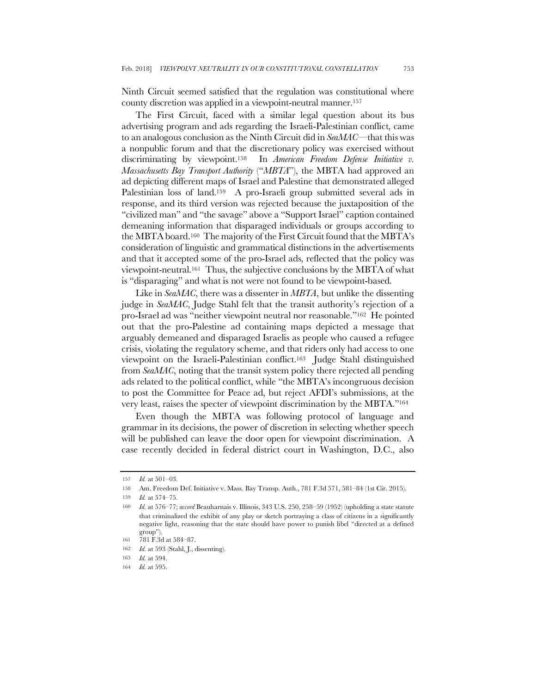Ninth Circuit seemed satisfied that the regulation was constitutional where county discretion was applied in a viewpoint-neutral manner.157

The First Circuit, faced with a similar legal question about its bus advertising program and ads regarding the Israeli-Palestinian conflict, came to an analogous conclusion as the Ninth Circuit did in *SeaMAC*—that this was a nonpublic forum and that the discretionary policy was exercised without discriminating by viewpoint.158 In *American Freedom Defense Initiative v. Massachusetts Bay Transport Authority* ("*MBTA*"), the MBTA had approved an ad depicting different maps of Israel and Palestine that demonstrated alleged Palestinian loss of land.<sup>159</sup> A pro-Israeli group submitted several ads in response, and its third version was rejected because the juxtaposition of the "civilized man" and "the savage" above a "Support Israel" caption contained demeaning information that disparaged individuals or groups according to the MBTA board.160 The majority of the First Circuit found that the MBTA's consideration of linguistic and grammatical distinctions in the advertisements and that it accepted some of the pro-Israel ads, reflected that the policy was viewpoint-neutral.161 Thus, the subjective conclusions by the MBTA of what is "disparaging" and what is not were not found to be viewpoint-based.

Like in *SeaMAC*, there was a dissenter in *MBTA*, but unlike the dissenting judge in *SeaMAC*, Judge Stahl felt that the transit authority's rejection of a pro-Israel ad was "neither viewpoint neutral nor reasonable."162 He pointed out that the pro-Palestine ad containing maps depicted a message that arguably demeaned and disparaged Israelis as people who caused a refugee crisis, violating the regulatory scheme, and that riders only had access to one viewpoint on the Israeli-Palestinian conflict.163 Judge Stahl distinguished from *SeaMAC*, noting that the transit system policy there rejected all pending ads related to the political conflict, while "the MBTA's incongruous decision to post the Committee for Peace ad, but reject AFDI's submissions, at the very least, raises the specter of viewpoint discrimination by the MBTA."164

Even though the MBTA was following protocol of language and grammar in its decisions, the power of discretion in selecting whether speech will be published can leave the door open for viewpoint discrimination. A case recently decided in federal district court in Washington, D.C., also

<sup>157</sup> *Id.* at 501–03.

<sup>158</sup> Am. Freedom Def. Initiative v. Mass. Bay Transp. Auth., 781 F.3d 571, 581–84 (1st Cir. 2015).

<sup>159</sup> *Id.* at 574–75.

<sup>160</sup> *Id.* at 576–77; *accord* Beauharnais v. Illinois, 343 U.S. 250, 258–59 (1952) (upholding a state statute that criminalized the exhibit of any play or sketch portraying a class of citizens in a significantly negative light, reasoning that the state should have power to punish libel "directed at a defined group").

<sup>161</sup> 781 F.3d at 584–87.

<sup>162</sup> *Id.* at 593 (Stahl, J., dissenting).

<sup>163</sup> *Id.* at 594.

<sup>164</sup> *Id.* at 595.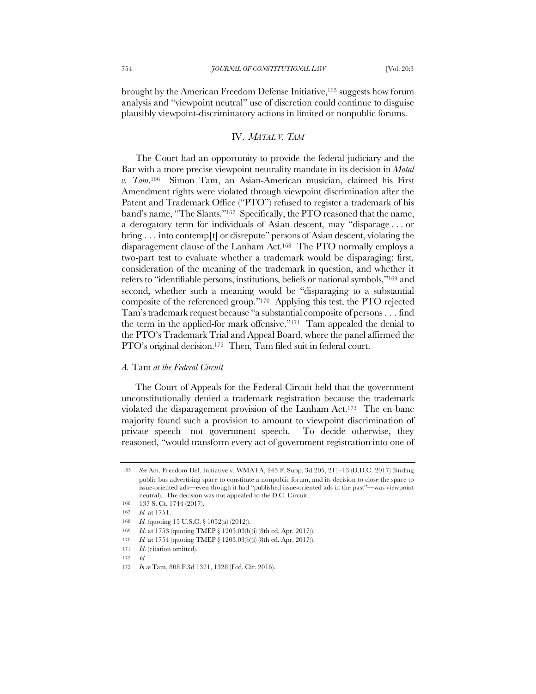brought by the American Freedom Defense Initiative,165 suggests how forum analysis and "viewpoint neutral" use of discretion could continue to disguise plausibly viewpoint-discriminatory actions in limited or nonpublic forums.

# IV. *MATAL V. TAM*

The Court had an opportunity to provide the federal judiciary and the Bar with a more precise viewpoint neutrality mandate in its decision in *Matal v. Tam*.166 Simon Tam, an Asian-American musician, claimed his First Amendment rights were violated through viewpoint discrimination after the Patent and Trademark Office ("PTO") refused to register a trademark of his band's name, "The Slants."167 Specifically, the PTO reasoned that the name, a derogatory term for individuals of Asian descent, may "disparage . . . or bring . . . into contemp[t] or disrepute" persons of Asian descent, violating the disparagement clause of the Lanham Act.168 The PTO normally employs a two-part test to evaluate whether a trademark would be disparaging: first, consideration of the meaning of the trademark in question, and whether it refers to "identifiable persons, institutions, beliefs or national symbols,"169 and second, whether such a meaning would be "disparaging to a substantial composite of the referenced group."170 Applying this test, the PTO rejected Tam's trademark request because "a substantial composite of persons . . . find the term in the applied-for mark offensive."171 Tam appealed the denial to the PTO's Trademark Trial and Appeal Board, where the panel affirmed the PTO's original decision.<sup>172</sup> Then, Tam filed suit in federal court.

#### *A.* Tam *at the Federal Circuit*

The Court of Appeals for the Federal Circuit held that the government unconstitutionally denied a trademark registration because the trademark violated the disparagement provision of the Lanham Act.173 The en banc majority found such a provision to amount to viewpoint discrimination of private speech—not government speech. To decide otherwise, they reasoned, "would transform every act of government registration into one of

<sup>165</sup> *See* Am. Freedom Def. Initiative v. WMATA, 245 F. Supp. 3d 205, 211–13 (D.D.C. 2017) (finding public bus advertising space to constitute a nonpublic forum, and its decision to close the space to issue-oriented ads—even though it had "published issue-oriented ads in the past"—was viewpoint neutral). The decision was not appealed to the D.C. Circuit.

<sup>166</sup> 137 S. Ct. 1744 (2017).

<sup>167</sup> *Id.* at 1751.

<sup>168</sup> *Id.* (quoting 15 U.S.C. § 1052(a) (2012)).

<sup>169</sup> *Id*. at 1753 (quoting TMEP § 1203.03(b)(i) (8th ed. Apr. 2017)).

<sup>170</sup> *Id.* at 1754 (quoting TMEP § 1203.03(b)(i) (8th ed. Apr. 2017)).

<sup>171</sup> *Id*. (citation omitted).

<sup>172</sup> *Id.*

<sup>173</sup> *In re* Tam, 808 F.3d 1321, 1328 (Fed. Cir. 2016).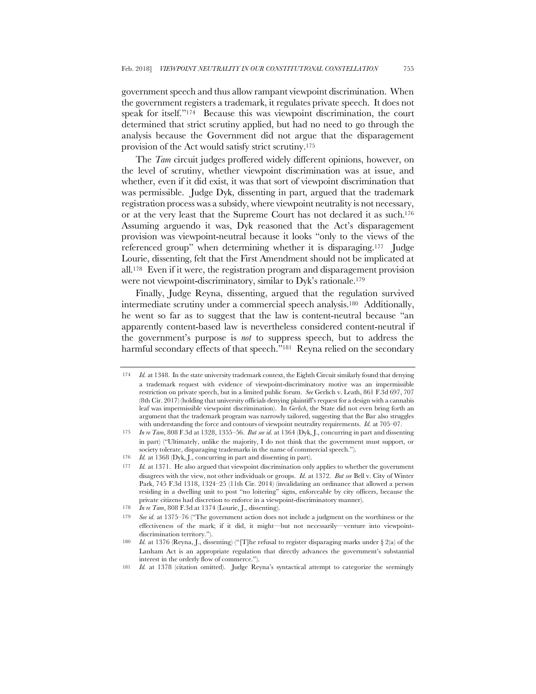government speech and thus allow rampant viewpoint discrimination. When the government registers a trademark, it regulates private speech. It does not speak for itself."174 Because this was viewpoint discrimination, the court determined that strict scrutiny applied, but had no need to go through the analysis because the Government did not argue that the disparagement provision of the Act would satisfy strict scrutiny.175

The *Tam* circuit judges proffered widely different opinions, however, on the level of scrutiny, whether viewpoint discrimination was at issue, and whether, even if it did exist, it was that sort of viewpoint discrimination that was permissible. Judge Dyk, dissenting in part, argued that the trademark registration process was a subsidy, where viewpoint neutrality is not necessary, or at the very least that the Supreme Court has not declared it as such.<sup>176</sup> Assuming arguendo it was, Dyk reasoned that the Act's disparagement provision was viewpoint-neutral because it looks "only to the views of the referenced group" when determining whether it is disparaging.<sup>177</sup> Judge Lourie, dissenting, felt that the First Amendment should not be implicated at all.178 Even if it were, the registration program and disparagement provision were not viewpoint-discriminatory, similar to Dyk's rationale.179

Finally, Judge Reyna, dissenting, argued that the regulation survived intermediate scrutiny under a commercial speech analysis.180 Additionally, he went so far as to suggest that the law is content-neutral because "an apparently content-based law is nevertheless considered content-neutral if the government's purpose is *not* to suppress speech, but to address the harmful secondary effects of that speech."<sup>181</sup> Reyna relied on the secondary

<sup>174</sup> *Id.* at 1348. In the state university trademark context, the Eighth Circuit similarly found that denying a trademark request with evidence of viewpoint-discriminatory motive was an impermissible restriction on private speech, but in a limited public forum. *See* Gerlich v. Leath, 861 F.3d 697, 707 (8th Cir. 2017) (holding that university officials denying plaintiff's request for a design with a cannabis leaf was impermissible viewpoint discrimination). In *Gerlich*, the State did not even bring forth an argument that the trademark program was narrowly tailored, suggesting that the Bar also struggles with understanding the force and contours of viewpoint neutrality requirements. *Id.* at 705–07.

<sup>175</sup> *In re Tam*, 808 F.3d at 1328, 1355–56. *But see id.* at 1364 (Dyk, J., concurring in part and dissenting in part) ("Ultimately, unlike the majority, I do not think that the government must support, or society tolerate, disparaging trademarks in the name of commercial speech.").

<sup>176</sup> *Id.* at 1368 (Dyk, J., concurring in part and dissenting in part).

<sup>177</sup> *Id.* at 1371. He also argued that viewpoint discrimination only applies to whether the government disagrees with the view, not other individuals or groups. *Id.* at 1372. *But see* Bell v. City of Winter Park, 745 F.3d 1318, 1324–25 (11th Cir. 2014) (invalidating an ordinance that allowed a person residing in a dwelling unit to post "no loitering" signs, enforceable by city officers, because the private citizens had discretion to enforce in a viewpoint-discriminatory manner).

<sup>178</sup> *In re Tam*, 808 F.3d at 1374 (Lourie, J., dissenting).

<sup>179</sup> *See id.* at 1375–76 ("The government action does not include a judgment on the worthiness or the effectiveness of the mark; if it did, it might—but not necessarily—venture into viewpointdiscrimination territory.").

<sup>180</sup> *Id.* at 1376 (Reyna, J., dissenting) ("[T]he refusal to register disparaging marks under § 2(a) of the Lanham Act is an appropriate regulation that directly advances the government's substantial interest in the orderly flow of commerce.").

<sup>181</sup> *Id.* at 1378 (citation omitted). Judge Reyna's syntactical attempt to categorize the seemingly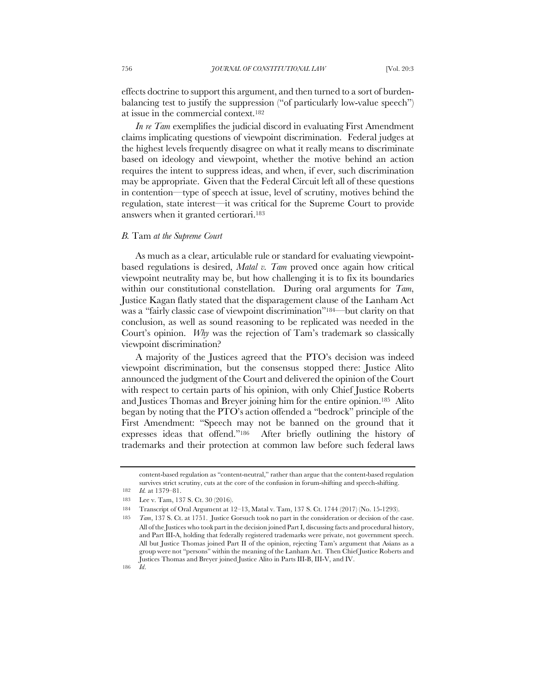effects doctrine to support this argument, and then turned to a sort of burdenbalancing test to justify the suppression ("of particularly low-value speech") at issue in the commercial context.182

*In re Tam* exemplifies the judicial discord in evaluating First Amendment claims implicating questions of viewpoint discrimination. Federal judges at the highest levels frequently disagree on what it really means to discriminate based on ideology and viewpoint, whether the motive behind an action requires the intent to suppress ideas, and when, if ever, such discrimination may be appropriate. Given that the Federal Circuit left all of these questions in contention—type of speech at issue, level of scrutiny, motives behind the regulation, state interest—it was critical for the Supreme Court to provide answers when it granted certiorari.183

#### *B.* Tam *at the Supreme Court*

As much as a clear, articulable rule or standard for evaluating viewpointbased regulations is desired, *Matal v. Tam* proved once again how critical viewpoint neutrality may be, but how challenging it is to fix its boundaries within our constitutional constellation. During oral arguments for *Tam*, Justice Kagan flatly stated that the disparagement clause of the Lanham Act was a "fairly classic case of viewpoint discrimination"184—but clarity on that conclusion, as well as sound reasoning to be replicated was needed in the Court's opinion. *Why* was the rejection of Tam's trademark so classically viewpoint discrimination?

A majority of the Justices agreed that the PTO's decision was indeed viewpoint discrimination, but the consensus stopped there: Justice Alito announced the judgment of the Court and delivered the opinion of the Court with respect to certain parts of his opinion, with only Chief Justice Roberts and Justices Thomas and Breyer joining him for the entire opinion.185 Alito began by noting that the PTO's action offended a "bedrock" principle of the First Amendment: "Speech may not be banned on the ground that it expresses ideas that offend."186 After briefly outlining the history of trademarks and their protection at common law before such federal laws

186 *Id*.

content-based regulation as "content-neutral," rather than argue that the content-based regulation survives strict scrutiny, cuts at the core of the confusion in forum-shifting and speech-shifting.

<sup>182</sup> *Id.* at 1379–81.

<sup>183</sup> Lee v. Tam, 137 S. Ct. 30 (2016).

<sup>184</sup> Transcript of Oral Argument at 12–13, Matal v. Tam, 137 S. Ct. 1744 (2017) (No. 15-1293).

<sup>185</sup> *Tam*, 137 S. Ct. at 1751. Justice Gorsuch took no part in the consideration or decision of the case. All of the Justices who took part in the decision joined Part I, discussing facts and procedural history, and Part III-A, holding that federally registered trademarks were private, not government speech. All but Justice Thomas joined Part II of the opinion, rejecting Tam's argument that Asians as a group were not "persons" within the meaning of the Lanham Act. Then Chief Justice Roberts and Justices Thomas and Breyer joined Justice Alito in Parts III-B, III-V, and IV.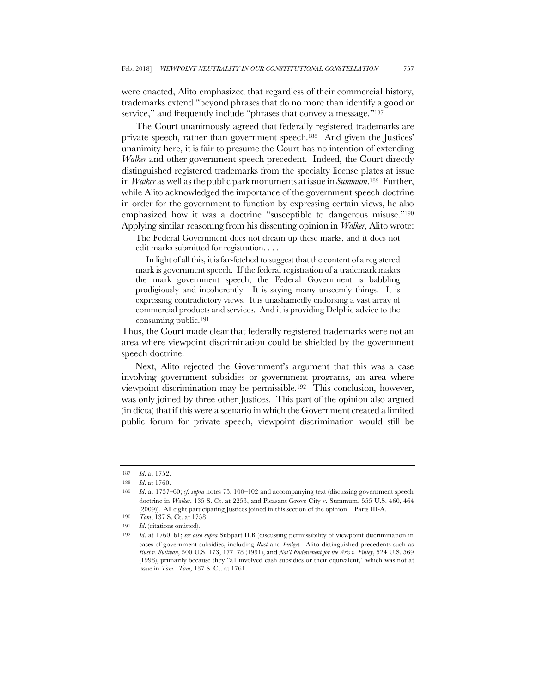were enacted, Alito emphasized that regardless of their commercial history, trademarks extend "beyond phrases that do no more than identify a good or service," and frequently include "phrases that convey a message."<sup>187</sup>

The Court unanimously agreed that federally registered trademarks are private speech, rather than government speech.188 And given the Justices' unanimity here, it is fair to presume the Court has no intention of extending *Walker* and other government speech precedent. Indeed, the Court directly distinguished registered trademarks from the specialty license plates at issue in *Walker* as well as the public park monuments at issue in *Summum*.189 Further, while Alito acknowledged the importance of the government speech doctrine in order for the government to function by expressing certain views, he also emphasized how it was a doctrine "susceptible to dangerous misuse."190 Applying similar reasoning from his dissenting opinion in *Walker*, Alito wrote:

The Federal Government does not dream up these marks, and it does not edit marks submitted for registration. . . .

In light of all this, it is far-fetched to suggest that the content of a registered mark is government speech. If the federal registration of a trademark makes the mark government speech, the Federal Government is babbling prodigiously and incoherently. It is saying many unseemly things. It is expressing contradictory views. It is unashamedly endorsing a vast array of commercial products and services. And it is providing Delphic advice to the consuming public.191

Thus, the Court made clear that federally registered trademarks were not an area where viewpoint discrimination could be shielded by the government speech doctrine.

Next, Alito rejected the Government's argument that this was a case involving government subsidies or government programs, an area where viewpoint discrimination may be permissible.192 This conclusion, however, was only joined by three other Justices. This part of the opinion also argued (in dicta) that if this were a scenario in which the Government created a limited public forum for private speech, viewpoint discrimination would still be

<sup>187</sup> *Id*. at 1752.

<sup>188</sup> *Id*. at 1760.

<sup>189</sup> *Id*. at 1757–60; *cf. supra* notes 75, 100–102 and accompanying text (discussing government speech doctrine in *Walker*, 135 S. Ct. at 2253, and Pleasant Grove City v. Summum, 555 U.S. 460, 464 (2009)). All eight participating Justices joined in this section of the opinion—Parts III-A.

<sup>190</sup> *Tam*, 137 S. Ct. at 1758.

<sup>191</sup> *Id*. (citations omitted).

<sup>192</sup> *Id*. at 1760–61; *see also supra* Subpart II.B (discussing permissibility of viewpoint discrimination in cases of government subsidies, including *Rust* and *Finley*). Alito distinguished precedents such as *Rust v. Sullivan*, 500 U.S. 173, 177–78 (1991), and *Nat'l Endowment for the Arts v. Finley*, 524 U.S. 569 (1998), primarily because they "all involved cash subsidies or their equivalent," which was not at issue in *Tam*. *Tam*, 137 S. Ct. at 1761.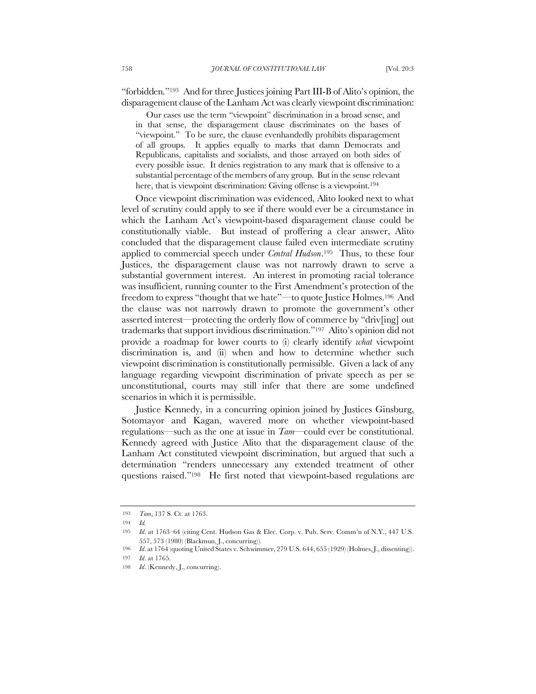"forbidden."193 And for three Justices joining Part III-B of Alito's opinion, the disparagement clause of the Lanham Act was clearly viewpoint discrimination:

Our cases use the term "viewpoint" discrimination in a broad sense, and in that sense, the disparagement clause discriminates on the bases of "viewpoint." To be sure, the clause evenhandedly prohibits disparagement of all groups. It applies equally to marks that damn Democrats and Republicans, capitalists and socialists, and those arrayed on both sides of every possible issue. It denies registration to any mark that is offensive to a substantial percentage of the members of any group. But in the sense relevant here, that is viewpoint discrimination: Giving offense is a viewpoint.<sup>194</sup>

Once viewpoint discrimination was evidenced, Alito looked next to what level of scrutiny could apply to see if there would ever be a circumstance in which the Lanham Act's viewpoint-based disparagement clause could be constitutionally viable. But instead of proffering a clear answer, Alito concluded that the disparagement clause failed even intermediate scrutiny applied to commercial speech under *Central Hudson*.195 Thus, to these four Justices, the disparagement clause was not narrowly drawn to serve a substantial government interest. An interest in promoting racial tolerance was insufficient, running counter to the First Amendment's protection of the freedom to express "thought that we hate"—to quote Justice Holmes.196 And the clause was not narrowly drawn to promote the government's other asserted interest—protecting the orderly flow of commerce by "driv[ing] out trademarks that support invidious discrimination."197 Alito's opinion did not provide a roadmap for lower courts to (i) clearly identify *what* viewpoint discrimination is, and (ii) when and how to determine whether such viewpoint discrimination is constitutionally permissible. Given a lack of any language regarding viewpoint discrimination of private speech as per se unconstitutional, courts may still infer that there are some undefined scenarios in which it is permissible.

Justice Kennedy, in a concurring opinion joined by Justices Ginsburg, Sotomayor and Kagan, wavered more on whether viewpoint-based regulations—such as the one at issue in *Tam*—could ever be constitutional. Kennedy agreed with Justice Alito that the disparagement clause of the Lanham Act constituted viewpoint discrimination, but argued that such a determination "renders unnecessary any extended treatment of other questions raised."198 He first noted that viewpoint-based regulations are

<sup>193</sup> *Tam*, 137 S. Ct. at 1763.

<sup>194</sup> *Id.*

<sup>195</sup> *Id*. at 1763–64 (citing Cent. Hudson Gas & Elec. Corp. v. Pub. Serv. Comm'n of N.Y., 447 U.S. 557, 573 (1980) (Blackmun, J., concurring)).

<sup>196</sup> *Id.* at 1764 (quoting United States v. Schwimmer, 279 U.S. 644, 655 (1929) (Holmes, J., dissenting)).

<sup>197</sup> *Id*. at 1765.

<sup>198</sup> *Id.* (Kennedy, J., concurring).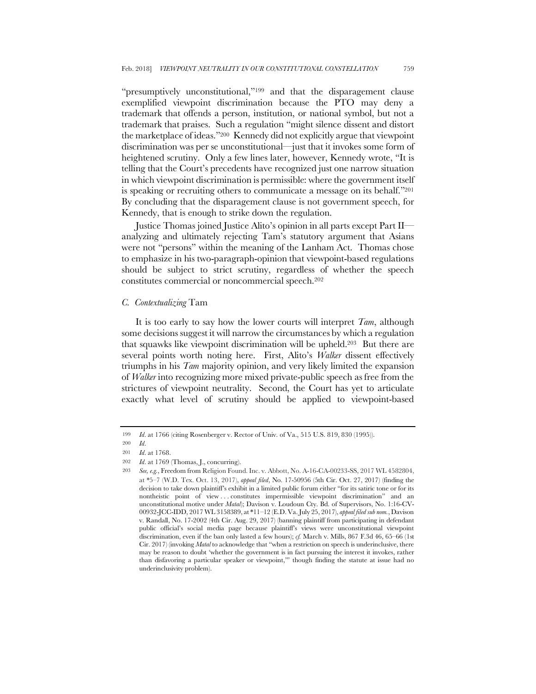"presumptively unconstitutional,"<sup>199</sup> and that the disparagement clause exemplified viewpoint discrimination because the PTO may deny a trademark that offends a person, institution, or national symbol, but not a trademark that praises. Such a regulation "might silence dissent and distort the marketplace of ideas."200 Kennedy did not explicitly argue that viewpoint discrimination was per se unconstitutional—just that it invokes some form of heightened scrutiny. Only a few lines later, however, Kennedy wrote, "It is telling that the Court's precedents have recognized just one narrow situation in which viewpoint discrimination is permissible: where the government itself is speaking or recruiting others to communicate a message on its behalf."201 By concluding that the disparagement clause is not government speech, for Kennedy, that is enough to strike down the regulation.

Justice Thomas joined Justice Alito's opinion in all parts except Part II analyzing and ultimately rejecting Tam's statutory argument that Asians were not "persons" within the meaning of the Lanham Act. Thomas chose to emphasize in his two-paragraph-opinion that viewpoint-based regulations should be subject to strict scrutiny, regardless of whether the speech constitutes commercial or noncommercial speech.202

# *C. Contextualizing* Tam

It is too early to say how the lower courts will interpret *Tam*, although some decisions suggest it will narrow the circumstances by which a regulation that squawks like viewpoint discrimination will be upheld.203 But there are several points worth noting here. First, Alito's *Walker* dissent effectively triumphs in his *Tam* majority opinion, and very likely limited the expansion of *Walker* into recognizing more mixed private-public speech as free from the strictures of viewpoint neutrality. Second, the Court has yet to articulate exactly what level of scrutiny should be applied to viewpoint-based

<sup>199</sup> *Id*. at 1766 (citing Rosenberger v. Rector of Univ. of Va., 515 U.S. 819, 830 (1995)).

<sup>200</sup> *Id*.

<sup>201</sup> *Id*. at 1768.

<sup>202</sup> *Id*. at 1769 (Thomas, J., concurring).

<sup>203</sup> *See, e.g.*, Freedom from Religion Found. Inc. v. Abbott, No. A-16-CA-00233-SS, 2017 WL 4582804, at \*5–7 (W.D. Tex. Oct. 13, 2017), *appeal filed*, No. 17-50956 (5th Cir. Oct. 27, 2017) (finding the decision to take down plaintiff's exhibit in a limited public forum either "for its satiric tone or for its nontheistic point of view . . . constitutes impermissible viewpoint discrimination" and an unconstitutional motive under *Matal*); Davison v. Loudoun Cty. Bd. of Supervisors, No. 1:16-CV-00932-JCC-IDD, 2017 WL 3158389, at \*11–12 (E.D. Va. July 25, 2017), *appeal filed sub nom.*, Davison v. Randall, No. 17-2002 (4th Cir. Aug. 29, 2017) (banning plaintiff from participating in defendant public official's social media page because plaintiff's views were unconstitutional viewpoint discrimination, even if the ban only lasted a few hours); *cf.* March v. Mills, 867 F.3d 46, 65–66 (1st Cir. 2017) (invoking *Matal* to acknowledge that "when a restriction on speech is underinclusive, there may be reason to doubt 'whether the government is in fact pursuing the interest it invokes, rather than disfavoring a particular speaker or viewpoint,'" though finding the statute at issue had no underinclusivity problem).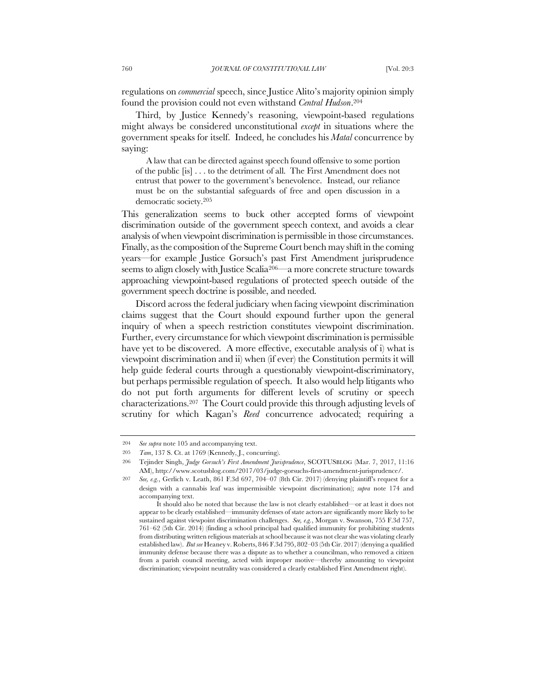regulations on *commercial* speech, since Justice Alito's majority opinion simply found the provision could not even withstand *Central Hudson*.204

Third, by Justice Kennedy's reasoning, viewpoint-based regulations might always be considered unconstitutional *except* in situations where the government speaks for itself. Indeed, he concludes his *Matal* concurrence by saying:

A law that can be directed against speech found offensive to some portion of the public [is] . . . to the detriment of all. The First Amendment does not entrust that power to the government's benevolence. Instead, our reliance must be on the substantial safeguards of free and open discussion in a democratic society.205

This generalization seems to buck other accepted forms of viewpoint discrimination outside of the government speech context, and avoids a clear analysis of when viewpoint discrimination is permissible in those circumstances. Finally, as the composition of the Supreme Court bench may shift in the coming years—for example Justice Gorsuch's past First Amendment jurisprudence seems to align closely with Justice Scalia206—a more concrete structure towards approaching viewpoint-based regulations of protected speech outside of the government speech doctrine is possible, and needed.

Discord across the federal judiciary when facing viewpoint discrimination claims suggest that the Court should expound further upon the general inquiry of when a speech restriction constitutes viewpoint discrimination. Further, every circumstance for which viewpoint discrimination is permissible have yet to be discovered. A more effective, executable analysis of i) what is viewpoint discrimination and ii) when (if ever) the Constitution permits it will help guide federal courts through a questionably viewpoint-discriminatory, but perhaps permissible regulation of speech. It also would help litigants who do not put forth arguments for different levels of scrutiny or speech characterizations.207 The Court could provide this through adjusting levels of scrutiny for which Kagan's *Reed* concurrence advocated; requiring a

<sup>204</sup> *See supra* note 105 and accompanying text.

<sup>205</sup> *Tam*, 137 S. Ct. at 1769 (Kennedy, J., concurring).

<sup>206</sup> Tejinder Singh, *Judge Gorsuch's First Amendment Jurisprudence*, SCOTUSBLOG (Mar. 7, 2017, 11:16 AM), http://www.scotusblog.com/2017/03/judge-gorsuchs-first-amendment-jurisprudence/.

<sup>207</sup> *See, e.g.*, Gerlich v. Leath, 861 F.3d 697, 704–07 (8th Cir. 2017) (denying plaintiff's request for a design with a cannabis leaf was impermissible viewpoint discrimination); *supra* note 174 and accompanying text.

It should also be noted that because the law is not clearly established—or at least it does not appear to be clearly established—immunity defenses of state actors are significantly more likely to be sustained against viewpoint discrimination challenges. *See, e.g.*, Morgan v. Swanson, 755 F.3d 757, 761–62 (5th Cir. 2014) (finding a school principal had qualified immunity for prohibiting students from distributing written religious materials at school because it was not clear she was violating clearly established law). *But see* Heaney v. Roberts, 846 F.3d 795, 802–03 (5th Cir. 2017) (denying a qualified immunity defense because there was a dispute as to whether a councilman, who removed a citizen from a parish council meeting, acted with improper motive—thereby amounting to viewpoint discrimination; viewpoint neutrality was considered a clearly established First Amendment right).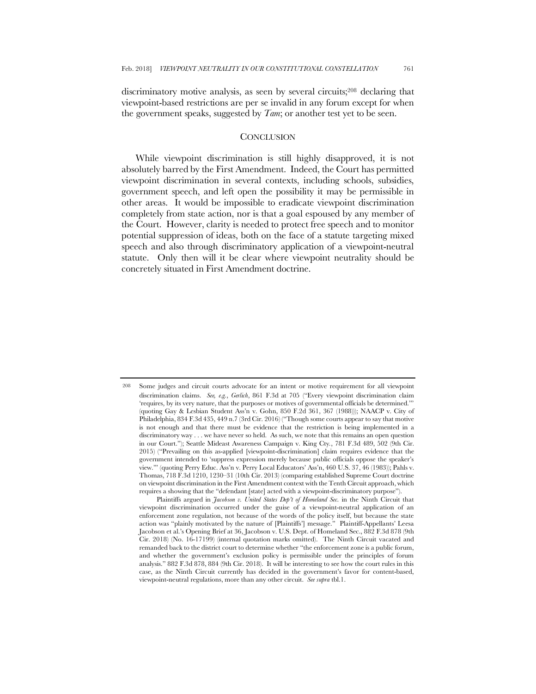discriminatory motive analysis, as seen by several circuits;208 declaring that viewpoint-based restrictions are per se invalid in any forum except for when the government speaks, suggested by *Tam*; or another test yet to be seen.

# **CONCLUSION**

While viewpoint discrimination is still highly disapproved, it is not absolutely barred by the First Amendment. Indeed, the Court has permitted viewpoint discrimination in several contexts, including schools, subsidies, government speech, and left open the possibility it may be permissible in other areas. It would be impossible to eradicate viewpoint discrimination completely from state action, nor is that a goal espoused by any member of the Court. However, clarity is needed to protect free speech and to monitor potential suppression of ideas, both on the face of a statute targeting mixed speech and also through discriminatory application of a viewpoint-neutral statute. Only then will it be clear where viewpoint neutrality should be concretely situated in First Amendment doctrine.

Plaintiffs argued in *Jacobson v. United States Dep't of Homeland Sec.* in the Ninth Circuit that viewpoint discrimination occurred under the guise of a viewpoint-neutral application of an enforcement zone regulation, not because of the words of the policy itself, but because the state action was "plainly motivated by the nature of [Plaintiffs'] message." Plaintiff-Appellants' Leesa Jacobson et al.'s Opening Brief at 36, Jacobson v. U.S. Dept. of Homeland Sec., 882 F.3d 878 (9th Cir. 2018) (No. 16-17199) (internal quotation marks omitted). The Ninth Circuit vacated and remanded back to the district court to determine whether "the enforcement zone is a public forum, and whether the government's exclusion policy is permissible under the principles of forum analysis." 882 F.3d 878, 884 (9th Cir. 2018). It will be interesting to see how the court rules in this case, as the Ninth Circuit currently has decided in the government's favor for content-based, viewpoint-neutral regulations, more than any other circuit. *See supra* tbl.1.

<sup>208</sup> Some judges and circuit courts advocate for an intent or motive requirement for all viewpoint discrimination claims. *See, e.g.*, *Gerlich*, 861 F.3d at 705 ("Every viewpoint discrimination claim 'requires, by its very nature, that the purposes or motives of governmental officials be determined.'" (quoting Gay & Lesbian Student Ass'n v. Gohn, 850 F.2d 361, 367 (1988))); NAACP v. City of Philadelphia, 834 F.3d 435, 449 n.7 (3rd Cir. 2016) ("Though some courts appear to say that motive is not enough and that there must be evidence that the restriction is being implemented in a discriminatory way . . . we have never so held. As such, we note that this remains an open question in our Court."); Seattle Mideast Awareness Campaign v. King Cty*.*, 781 F.3d 489, 502 (9th Cir. 2015) ("Prevailing on this as-applied [viewpoint-discrimination] claim requires evidence that the government intended to 'suppress expression merely because public officials oppose the speaker's view.'" (quoting Perry Educ. Ass'n v. Perry Local Educators' Ass'n, 460 U.S. 37, 46 (1983)); Pahls v. Thomas, 718 F.3d 1210, 1230–31 (10th Cir. 2013) (comparing established Supreme Court doctrine on viewpoint discrimination in the First Amendment context with the Tenth Circuit approach, which requires a showing that the "defendant [state] acted with a viewpoint-discriminatory purpose").